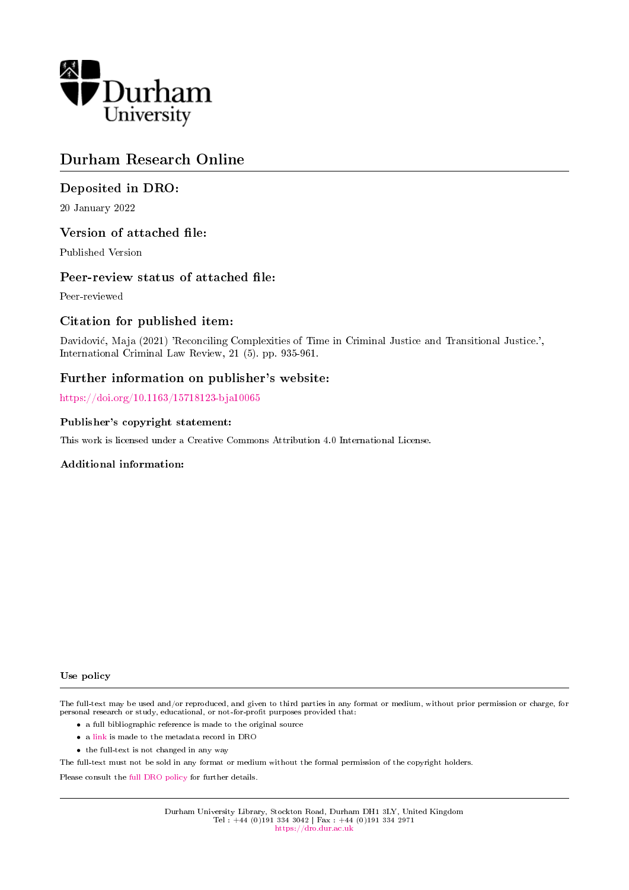

# Durham Research Online

# Deposited in DRO:

20 January 2022

# Version of attached file:

Published Version

## Peer-review status of attached file:

Peer-reviewed

# Citation for published item:

Davidovic, Maja (2021) 'Reconciling Complexities of Time in Criminal Justice and Transitional Justice.', International Criminal Law Review, 21 (5). pp. 935-961.

# Further information on publisher's website:

<https://doi.org/10.1163/15718123-bja10065>

## Publisher's copyright statement:

This work is licensed under a Creative Commons Attribution 4.0 International License.

### Additional information:

#### Use policy

The full-text may be used and/or reproduced, and given to third parties in any format or medium, without prior permission or charge, for personal research or study, educational, or not-for-profit purposes provided that:

- a full bibliographic reference is made to the original source
- a [link](http://dro.dur.ac.uk/35142/) is made to the metadata record in DRO
- the full-text is not changed in any way

The full-text must not be sold in any format or medium without the formal permission of the copyright holders.

Please consult the [full DRO policy](https://dro.dur.ac.uk/policies/usepolicy.pdf) for further details.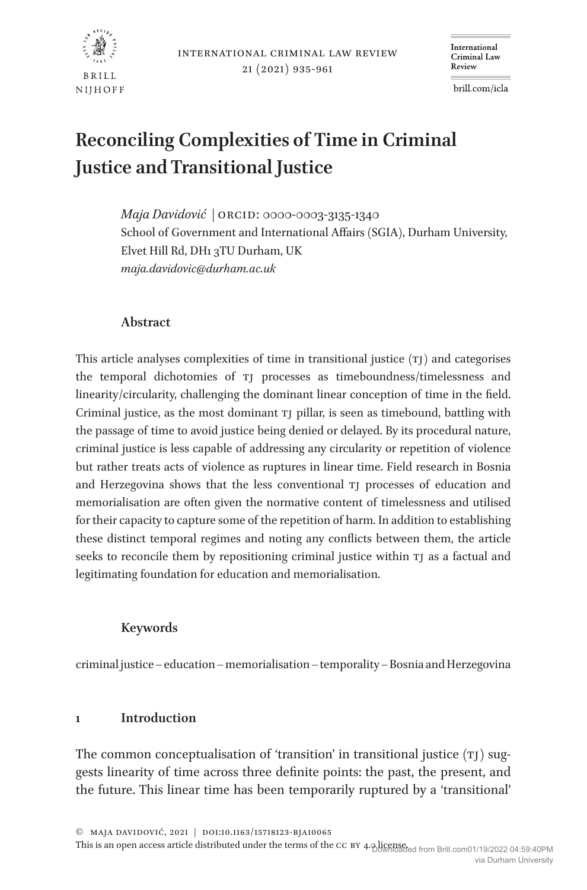

# **Reconciling Complexities of Time in Criminal Justice and Transitional Justice**

*Maja Davidović |* ORCID: 0000-0003-3135-1340 School of Government and International Affairs (SGIA), Durham University, Elvet Hill Rd, DH1 3TU Durham, UK *maja.davidovic@durham.ac.uk*

## **Abstract**

This article analyses complexities of time in transitional justice  $(T)$  and categorises the temporal dichotomies of tj processes as timeboundness/timelessness and linearity/circularity, challenging the dominant linear conception of time in the field. Criminal justice, as the most dominant tj pillar, is seen as timebound, battling with the passage of time to avoid justice being denied or delayed. By its procedural nature, criminal justice is less capable of addressing any circularity or repetition of violence but rather treats acts of violence as ruptures in linear time. Field research in Bosnia and Herzegovina shows that the less conventional tj processes of education and memorialisation are often given the normative content of timelessness and utilised for their capacity to capture some of the repetition of harm. In addition to establishing these distinct temporal regimes and noting any conflicts between them, the article seeks to reconcile them by repositioning criminal justice within TJ as a factual and legitimating foundation for education and memorialisation.

## **Keywords**

criminal justice – education – memorialisation – temporality – Bosnia and Herzegovina

### **1 Introduction**

The common conceptualisation of 'transition' in transitional justice  $(T)$  suggests linearity of time across three definite points: the past, the present, and the future. This linear time has been temporarily ruptured by a 'transitional'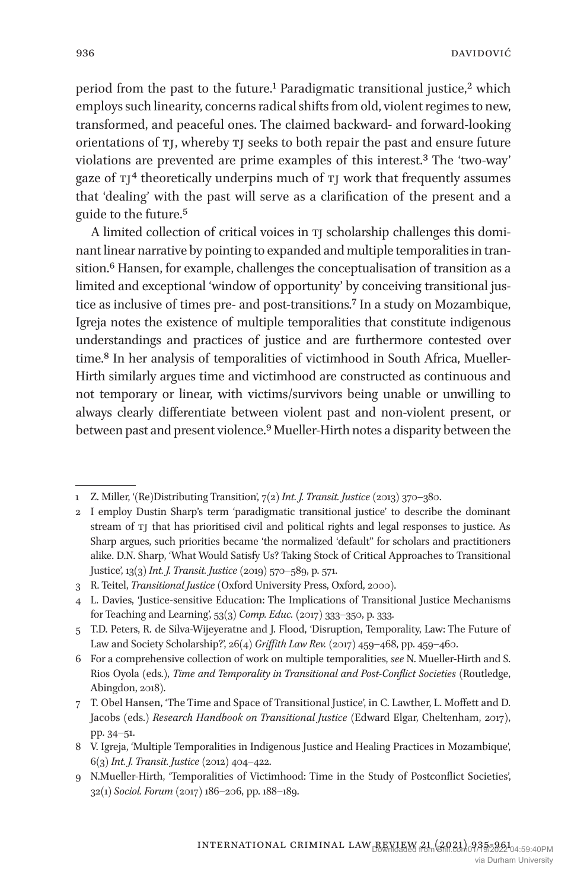period from the past to the future.<sup>1</sup> Paradigmatic transitional justice,<sup>2</sup> which employs such linearity, concerns radical shifts from old, violent regimes to new, transformed, and peaceful ones. The claimed backward- and forward-looking orientations of tj, whereby tj seeks to both repair the past and ensure future violations are prevented are prime examples of this interest.3 The 'two-way' gaze of  $Tj<sup>4</sup>$  theoretically underpins much of  $Tj$  work that frequently assumes that 'dealing' with the past will serve as a clarification of the present and a guide to the future.5

A limited collection of critical voices in tj scholarship challenges this dominant linear narrative by pointing to expanded and multiple temporalities in transition.<sup>6</sup> Hansen, for example, challenges the conceptualisation of transition as a limited and exceptional 'window of opportunity' by conceiving transitional justice as inclusive of times pre- and post-transitions.7 In a study on Mozambique, Igreja notes the existence of multiple temporalities that constitute indigenous understandings and practices of justice and are furthermore contested over time.8 In her analysis of temporalities of victimhood in South Africa, Mueller-Hirth similarly argues time and victimhood are constructed as continuous and not temporary or linear, with victims/survivors being unable or unwilling to always clearly differentiate between violent past and non-violent present, or between past and present violence.9 Mueller-Hirth notes a disparity between the

<sup>1</sup> Z. Miller, '(Re)Distributing Transition', 7(2) *Int. J. Transit. Justice* (2013) 370–380.

<sup>2</sup> I employ Dustin Sharp's term 'paradigmatic transitional justice' to describe the dominant stream of tj that has prioritised civil and political rights and legal responses to justice. As Sharp argues, such priorities became 'the normalized 'default'' for scholars and practitioners alike. D.N. Sharp, 'What Would Satisfy Us? Taking Stock of Critical Approaches to Transitional Justice', 13(3) *Int. J. Transit. Justice* (2019) 570–589, p. 571.

<sup>3</sup> R. Teitel, *Transitional Justice* (Oxford University Press, Oxford, 2000).

<sup>4</sup> L. Davies, 'Justice-sensitive Education: The Implications of Transitional Justice Mechanisms for Teaching and Learning', 53(3) *Comp. Educ.* (2017) 333–350, p. 333.

<sup>5</sup> T.D. Peters, R. de Silva-Wijeyeratne and J. Flood, 'Disruption, Temporality, Law: The Future of Law and Society Scholarship?', 26(4) *Griffith Law Rev.* (2017) 459–468, pp. 459–460.

<sup>6</sup> For a comprehensive collection of work on multiple temporalities, *see* N. Mueller-Hirth and S. Rios Oyola (eds.), *Time and Temporality in Transitional and Post-Conflict Societies* (Routledge, Abingdon, 2018).

<sup>7</sup> T. Obel Hansen, 'The Time and Space of Transitional Justice', in C. Lawther, L. Moffett and D. Jacobs (eds.) *Research Handbook on Transitional Justice* (Edward Elgar, Cheltenham, 2017), pp. 34–51.

<sup>8</sup> V. Igreja, 'Multiple Temporalities in Indigenous Justice and Healing Practices in Mozambique', 6(3) *Int. J. Transit. Justice* (2012) 404–422.

<sup>9</sup> N.Mueller-Hirth, 'Temporalities of Victimhood: Time in the Study of Postconflict Societies', 32(1) *Sociol. Forum* (2017) 186–206, pp. 188–189.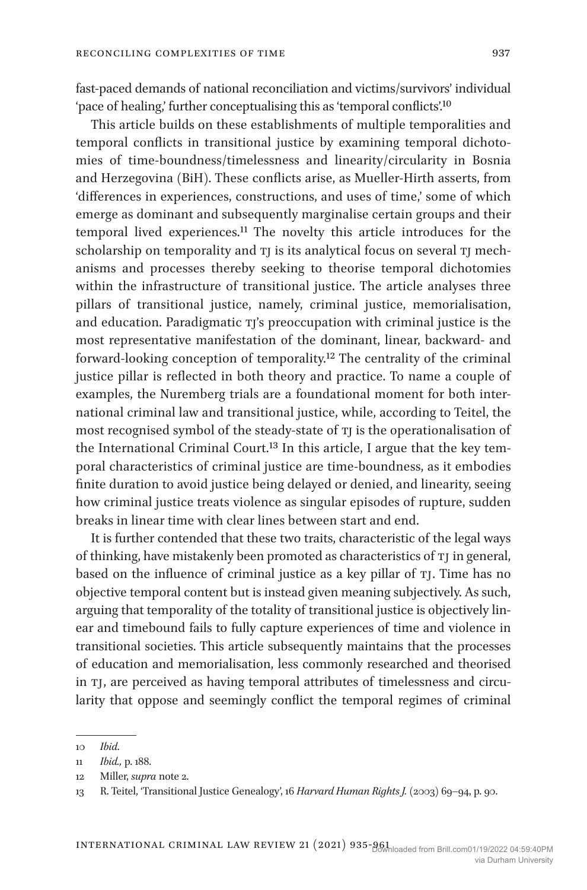fast-paced demands of national reconciliation and victims/survivors' individual 'pace of healing,' further conceptualising this as 'temporal conflicts'.10

This article builds on these establishments of multiple temporalities and temporal conflicts in transitional justice by examining temporal dichotomies of time-boundness/timelessness and linearity/circularity in Bosnia and Herzegovina (BiH). These conflicts arise, as Mueller-Hirth asserts, from 'differences in experiences, constructions, and uses of time,' some of which emerge as dominant and subsequently marginalise certain groups and their temporal lived experiences.11 The novelty this article introduces for the scholarship on temporality and TI is its analytical focus on several TI mechanisms and processes thereby seeking to theorise temporal dichotomies within the infrastructure of transitional justice. The article analyses three pillars of transitional justice, namely, criminal justice, memorialisation, and education. Paradigmatic TJ's preoccupation with criminal justice is the most representative manifestation of the dominant, linear, backward- and forward-looking conception of temporality.12 The centrality of the criminal justice pillar is reflected in both theory and practice. To name a couple of examples, the Nuremberg trials are a foundational moment for both international criminal law and transitional justice, while, according to Teitel, the most recognised symbol of the steady-state of TJ is the operationalisation of the International Criminal Court.<sup>13</sup> In this article, I argue that the key temporal characteristics of criminal justice are time-boundness, as it embodies finite duration to avoid justice being delayed or denied, and linearity, seeing how criminal justice treats violence as singular episodes of rupture, sudden breaks in linear time with clear lines between start and end.

It is further contended that these two traits, characteristic of the legal ways of thinking, have mistakenly been promoted as characteristics of TJ in general, based on the influence of criminal justice as a key pillar of TJ. Time has no objective temporal content but is instead given meaning subjectively. As such, arguing that temporality of the totality of transitional justice is objectively linear and timebound fails to fully capture experiences of time and violence in transitional societies. This article subsequently maintains that the processes of education and memorialisation, less commonly researched and theorised in tj, are perceived as having temporal attributes of timelessness and circularity that oppose and seemingly conflict the temporal regimes of criminal

<sup>10</sup> *Ibid*.

<sup>11</sup> *Ibid.,* p. 188.

<sup>12</sup> Miller, *supra* note 2.

<sup>13</sup> R. Teitel, 'Transitional Justice Genealogy', 16 *Harvard Human Rights J.* (2003) 69–94, p. 90.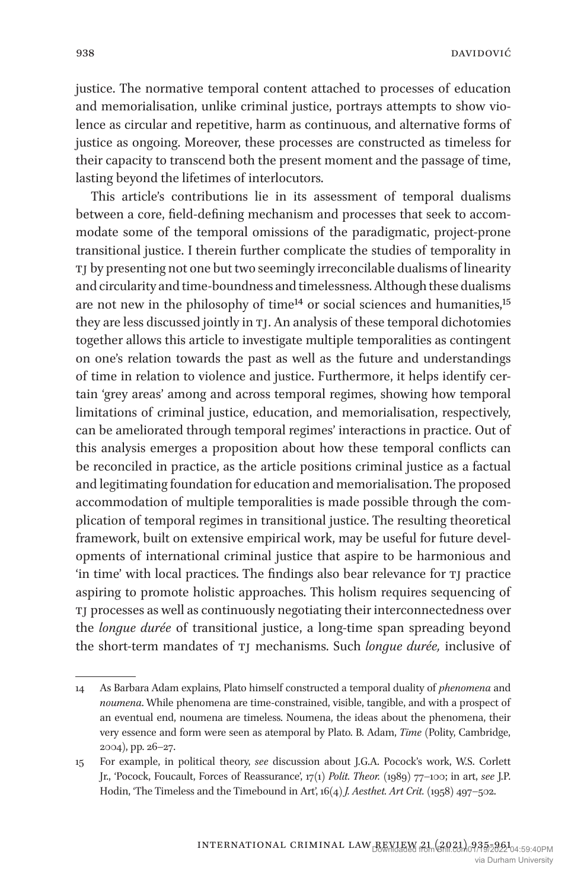justice. The normative temporal content attached to processes of education and memorialisation, unlike criminal justice, portrays attempts to show violence as circular and repetitive, harm as continuous, and alternative forms of justice as ongoing. Moreover, these processes are constructed as timeless for their capacity to transcend both the present moment and the passage of time, lasting beyond the lifetimes of interlocutors.

This article's contributions lie in its assessment of temporal dualisms between a core, field-defining mechanism and processes that seek to accommodate some of the temporal omissions of the paradigmatic, project-prone transitional justice. I therein further complicate the studies of temporality in tj by presenting not one but two seemingly irreconcilable dualisms of linearity and circularity and time-boundness and timelessness. Although these dualisms are not new in the philosophy of time<sup>14</sup> or social sciences and humanities,<sup>15</sup> they are less discussed jointly in tj. An analysis of these temporal dichotomies together allows this article to investigate multiple temporalities as contingent on one's relation towards the past as well as the future and understandings of time in relation to violence and justice. Furthermore, it helps identify certain 'grey areas' among and across temporal regimes, showing how temporal limitations of criminal justice, education, and memorialisation, respectively, can be ameliorated through temporal regimes' interactions in practice. Out of this analysis emerges a proposition about how these temporal conflicts can be reconciled in practice, as the article positions criminal justice as a factual and legitimating foundation for education and memorialisation. The proposed accommodation of multiple temporalities is made possible through the complication of temporal regimes in transitional justice. The resulting theoretical framework, built on extensive empirical work, may be useful for future developments of international criminal justice that aspire to be harmonious and 'in time' with local practices. The findings also bear relevance for tj practice aspiring to promote holistic approaches. This holism requires sequencing of tj processes as well as continuously negotiating their interconnectedness over the *longue durée* of transitional justice, a long-time span spreading beyond the short-term mandates of tj mechanisms. Such *longue durée,* inclusive of

<sup>14</sup> As Barbara Adam explains, Plato himself constructed a temporal duality of *phenomena* and *noumena*. While phenomena are time-constrained, visible, tangible, and with a prospect of an eventual end, noumena are timeless. Noumena, the ideas about the phenomena, their very essence and form were seen as atemporal by Plato. B. Adam, *Time* (Polity, Cambridge, 2004), pp. 26–27.

<sup>15</sup> For example, in political theory, *see* discussion about J.G.A. Pocock's work, W.S. Corlett Jr., 'Pocock, Foucault, Forces of Reassurance', 17(1) *Polit. Theor.* (1989) 77–100; in art, *see* J.P. Hodin, 'The Timeless and the Timebound in Art', 16(4) *J. Aesthet. Art Crit.* (1958) 497–502.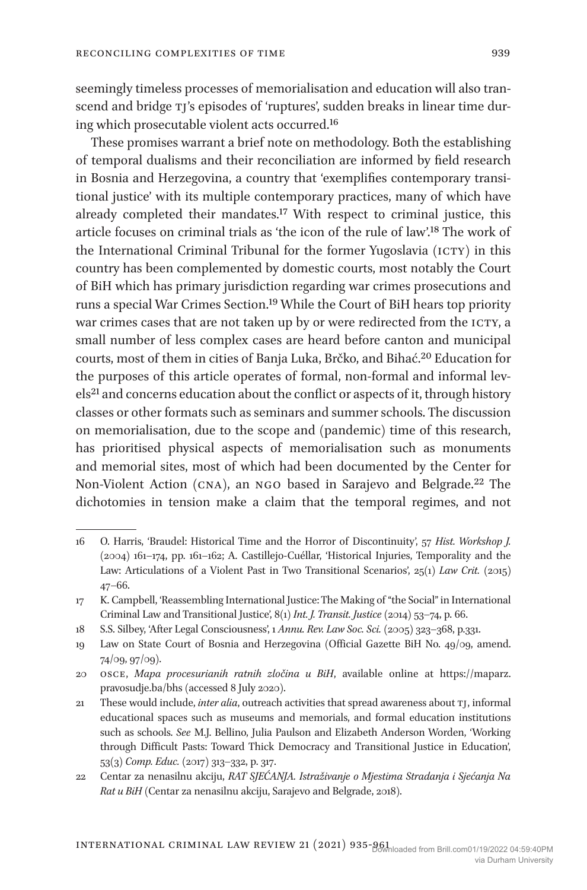seemingly timeless processes of memorialisation and education will also transcend and bridge TJ's episodes of 'ruptures', sudden breaks in linear time during which prosecutable violent acts occurred.16

These promises warrant a brief note on methodology. Both the establishing of temporal dualisms and their reconciliation are informed by field research in Bosnia and Herzegovina, a country that 'exemplifies contemporary transitional justice' with its multiple contemporary practices, many of which have already completed their mandates.17 With respect to criminal justice, this article focuses on criminal trials as 'the icon of the rule of law'.18 The work of the International Criminal Tribunal for the former Yugoslavia (ICTY) in this country has been complemented by domestic courts, most notably the Court of BiH which has primary jurisdiction regarding war crimes prosecutions and runs a special War Crimes Section.19 While the Court of BiH hears top priority war crimes cases that are not taken up by or were redirected from the ICTY, a small number of less complex cases are heard before canton and municipal courts, most of them in cities of Banja Luka, Brčko, and Bihać.20 Education for the purposes of this article operates of formal, non-formal and informal levels<sup>21</sup> and concerns education about the conflict or aspects of it, through history classes or other formats such as seminars and summer schools. The discussion on memorialisation, due to the scope and (pandemic) time of this research, has prioritised physical aspects of memorialisation such as monuments and memorial sites, most of which had been documented by the Center for Non-Violent Action (cna), an ngo based in Sarajevo and Belgrade.22 The dichotomies in tension make a claim that the temporal regimes, and not

<sup>16</sup> O. Harris, 'Braudel: Historical Time and the Horror of Discontinuity', 57 *Hist. Workshop J.* (2004) 161–174, pp. 161–162; A. Castillejo-Cuéllar, 'Historical Injuries, Temporality and the Law: Articulations of a Violent Past in Two Transitional Scenarios', 25(1) Law Crit. (2015) 47–66.

<sup>17</sup> K. Campbell, 'Reassembling International Justice: The Making of "the Social" in International Criminal Law and Transitional Justice', 8(1) *Int. J. Transit. Justice* (2014) 53–74, p. 66.

<sup>18</sup> S.S. Silbey, 'After Legal Consciousness', 1 *Annu. Rev. Law Soc. Sci.* (2005) 323–368, p.331.

<sup>19</sup> Law on State Court of Bosnia and Herzegovina (Official Gazette BiH No. 49/09, amend. 74/09, 97/09).

<sup>20</sup> osce, *Mapa procesurianih ratnih zločina u BiH*, available online at https://maparz. pravosudje.ba/bhs (accessed 8 July 2020).

<sup>21</sup> These would include, *inter alia*, outreach activities that spread awareness about tj, informal educational spaces such as museums and memorials, and formal education institutions such as schools. *See* M.J. Bellino, Julia Paulson and Elizabeth Anderson Worden, 'Working through Difficult Pasts: Toward Thick Democracy and Transitional Justice in Education', 53(3) *Comp. Educ.* (2017) 313–332, p. 317.

<sup>22</sup> Centar za nenasilnu akciju, *RAT SJEĆANJA. Istraživanje o Mjestima Stradanja i Sjećanja Na Rat u BiH* (Centar za nenasilnu akciju, Sarajevo and Belgrade, 2018).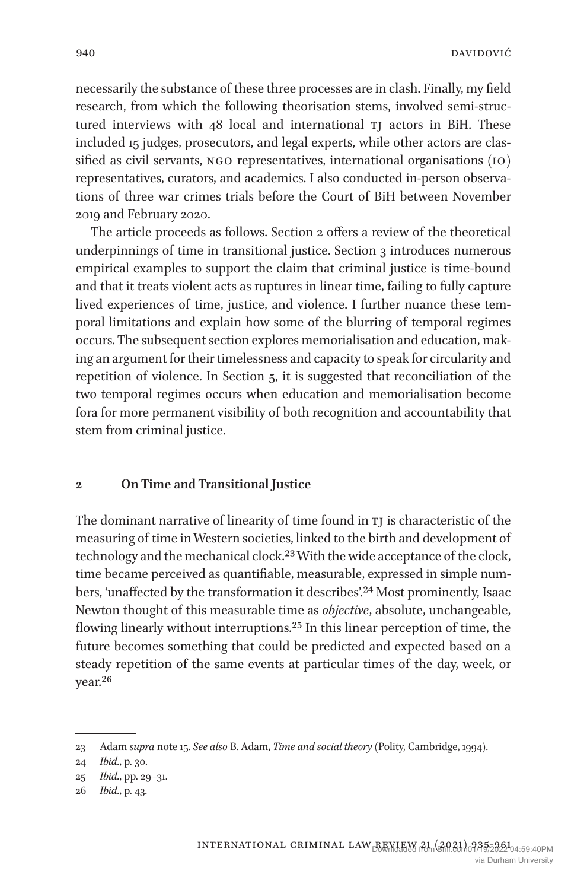necessarily the substance of these three processes are in clash. Finally, my field research, from which the following theorisation stems, involved semi-structured interviews with  $48$  local and international  $TJ$  actors in BiH. These included 15 judges, prosecutors, and legal experts, while other actors are classified as civil servants, ngo representatives, international organisations (io) representatives, curators, and academics. I also conducted in-person observations of three war crimes trials before the Court of BiH between November 2019 and February 2020.

The article proceeds as follows. Section 2 offers a review of the theoretical underpinnings of time in transitional justice. Section 3 introduces numerous empirical examples to support the claim that criminal justice is time-bound and that it treats violent acts as ruptures in linear time, failing to fully capture lived experiences of time, justice, and violence. I further nuance these temporal limitations and explain how some of the blurring of temporal regimes occurs. The subsequent section explores memorialisation and education, making an argument for their timelessness and capacity to speak for circularity and repetition of violence. In Section 5, it is suggested that reconciliation of the two temporal regimes occurs when education and memorialisation become fora for more permanent visibility of both recognition and accountability that stem from criminal justice.

#### **2 On Time and Transitional Justice**

The dominant narrative of linearity of time found in  $T<sub>I</sub>$  is characteristic of the measuring of time in Western societies, linked to the birth and development of technology and the mechanical clock.<sup>23</sup> With the wide acceptance of the clock, time became perceived as quantifiable, measurable, expressed in simple numbers, 'unaffected by the transformation it describes'.24 Most prominently, Isaac Newton thought of this measurable time as *objective*, absolute, unchangeable, flowing linearly without interruptions.25 In this linear perception of time, the future becomes something that could be predicted and expected based on a steady repetition of the same events at particular times of the day, week, or year.26

<sup>23</sup> Adam *supra* note 15. *See also* B. Adam, *Time and social theory* (Polity, Cambridge, 1994).

<sup>24</sup> *Ibid*., p. 30.

<sup>25</sup> *Ibid*., pp. 29–31.

<sup>26</sup> *Ibid*., p. 43.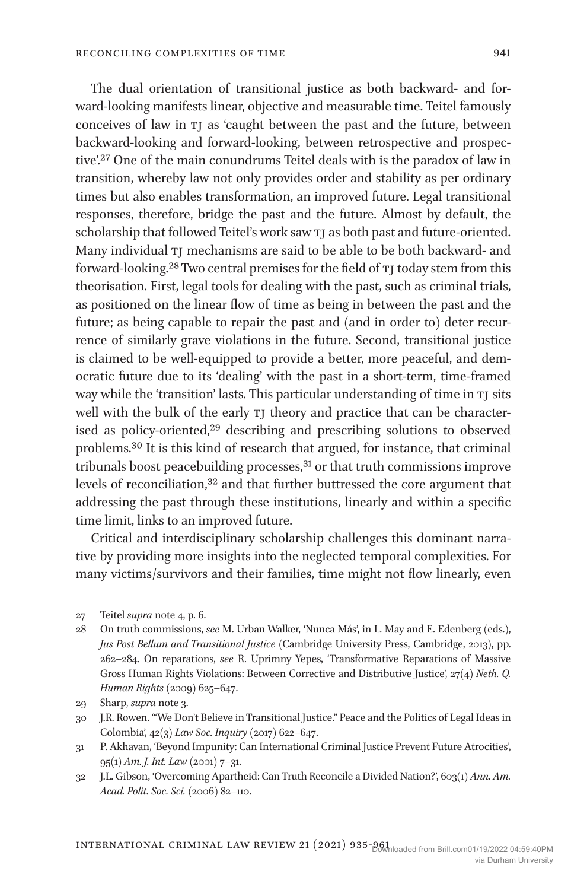The dual orientation of transitional justice as both backward- and forward-looking manifests linear, objective and measurable time. Teitel famously conceives of law in tj as 'caught between the past and the future, between backward-looking and forward-looking, between retrospective and prospective'.27 One of the main conundrums Teitel deals with is the paradox of law in transition, whereby law not only provides order and stability as per ordinary times but also enables transformation, an improved future. Legal transitional responses, therefore, bridge the past and the future. Almost by default, the scholarship that followed Teitel's work saw TJ as both past and future-oriented. Many individual TJ mechanisms are said to be able to be both backward- and forward-looking.<sup>28</sup> Two central premises for the field of TJ today stem from this theorisation. First, legal tools for dealing with the past, such as criminal trials, as positioned on the linear flow of time as being in between the past and the future; as being capable to repair the past and (and in order to) deter recurrence of similarly grave violations in the future. Second, transitional justice is claimed to be well-equipped to provide a better, more peaceful, and democratic future due to its 'dealing' with the past in a short-term, time-framed way while the 'transition' lasts. This particular understanding of time in TJ sits well with the bulk of the early TJ theory and practice that can be characterised as policy-oriented,<sup>29</sup> describing and prescribing solutions to observed problems.30 It is this kind of research that argued, for instance, that criminal tribunals boost peacebuilding processes,<sup>31</sup> or that truth commissions improve levels of reconciliation,<sup>32</sup> and that further buttressed the core argument that addressing the past through these institutions, linearly and within a specific time limit, links to an improved future.

Critical and interdisciplinary scholarship challenges this dominant narrative by providing more insights into the neglected temporal complexities. For many victims/survivors and their families, time might not flow linearly, even

<sup>27</sup> Teitel *supra* note 4, p. 6.

<sup>28</sup> On truth commissions, *see* M. Urban Walker, 'Nunca Más', in L. May and E. Edenberg (eds.), *Jus Post Bellum and Transitional Justice* (Cambridge University Press, Cambridge, 2013), pp. 262–284. On reparations, *see* R. Uprimny Yepes, 'Transformative Reparations of Massive Gross Human Rights Violations: Between Corrective and Distributive Justice', 27(4) *Neth. Q. Human Rights* (2009) 625–647.

<sup>29</sup> Sharp, *supra* note 3.

<sup>30</sup> J.R. Rowen. '"We Don't Believe in Transitional Justice." Peace and the Politics of Legal Ideas in Colombia', 42(3) *Law Soc. Inquiry* (2017) 622–647.

<sup>31</sup> P. Akhavan, 'Beyond Impunity: Can International Criminal Justice Prevent Future Atrocities', 95(1) *Am. J. Int. Law* (2001) 7–31.

<sup>32</sup> J.L. Gibson, 'Overcoming Apartheid: Can Truth Reconcile a Divided Nation?', 603(1) *Ann. Am. Acad. Polit. Soc. Sci.* (2006) 82–110.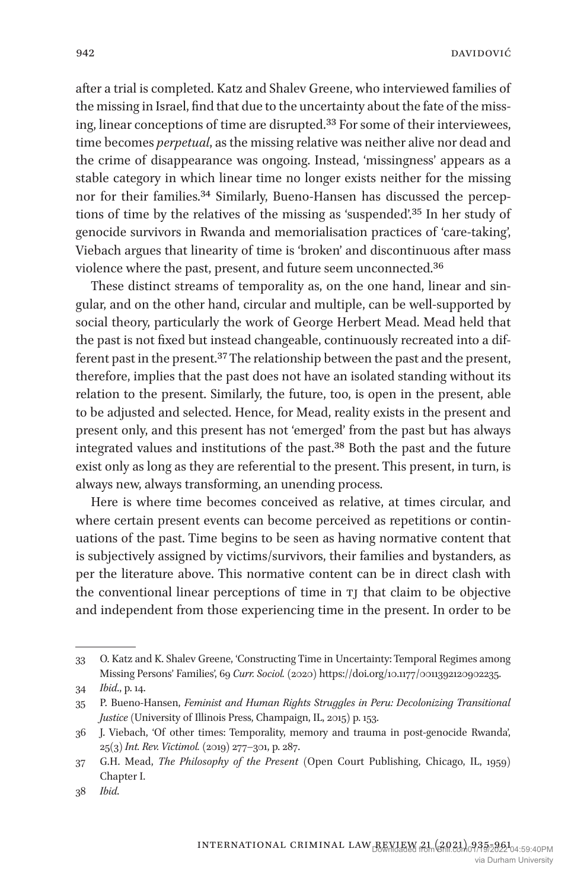after a trial is completed. Katz and Shalev Greene, who interviewed families of the missing in Israel, find that due to the uncertainty about the fate of the missing, linear conceptions of time are disrupted.33 For some of their interviewees, time becomes *perpetual*, as the missing relative was neither alive nor dead and the crime of disappearance was ongoing. Instead, 'missingness' appears as a stable category in which linear time no longer exists neither for the missing nor for their families.34 Similarly, Bueno-Hansen has discussed the perceptions of time by the relatives of the missing as 'suspended'.35 In her study of genocide survivors in Rwanda and memorialisation practices of 'care-taking', Viebach argues that linearity of time is 'broken' and discontinuous after mass violence where the past, present, and future seem unconnected.36

These distinct streams of temporality as, on the one hand, linear and singular, and on the other hand, circular and multiple, can be well-supported by social theory, particularly the work of George Herbert Mead. Mead held that the past is not fixed but instead changeable, continuously recreated into a different past in the present.37 The relationship between the past and the present, therefore, implies that the past does not have an isolated standing without its relation to the present. Similarly, the future, too, is open in the present, able to be adjusted and selected. Hence, for Mead, reality exists in the present and present only, and this present has not 'emerged' from the past but has always integrated values and institutions of the past.38 Both the past and the future exist only as long as they are referential to the present. This present, in turn, is always new, always transforming, an unending process.

Here is where time becomes conceived as relative, at times circular, and where certain present events can become perceived as repetitions or continuations of the past. Time begins to be seen as having normative content that is subjectively assigned by victims/survivors, their families and bystanders, as per the literature above. This normative content can be in direct clash with the conventional linear perceptions of time in TJ that claim to be objective and independent from those experiencing time in the present. In order to be

<sup>33</sup> O. Katz and K. Shalev Greene, 'Constructing Time in Uncertainty: Temporal Regimes among Missing Persons' Families', 69 *Curr. Sociol.* (2020) https://doi.org/10.1177/0011392120902235.

<sup>34</sup> *Ibid*., p. 14.

<sup>35</sup> P. Bueno-Hansen, *Feminist and Human Rights Struggles in Peru: Decolonizing Transitional Justice* (University of Illinois Press, Champaign, IL, 2015) p. 153.

<sup>36</sup> J. Viebach, 'Of other times: Temporality, memory and trauma in post-genocide Rwanda', 25(3) *Int. Rev. Victimol.* (2019) 277–301, p. 287.

<sup>37</sup> G.H. Mead, *The Philosophy of the Present* (Open Court Publishing, Chicago, IL, 1959) Chapter I.

<sup>38</sup> *Ibid*.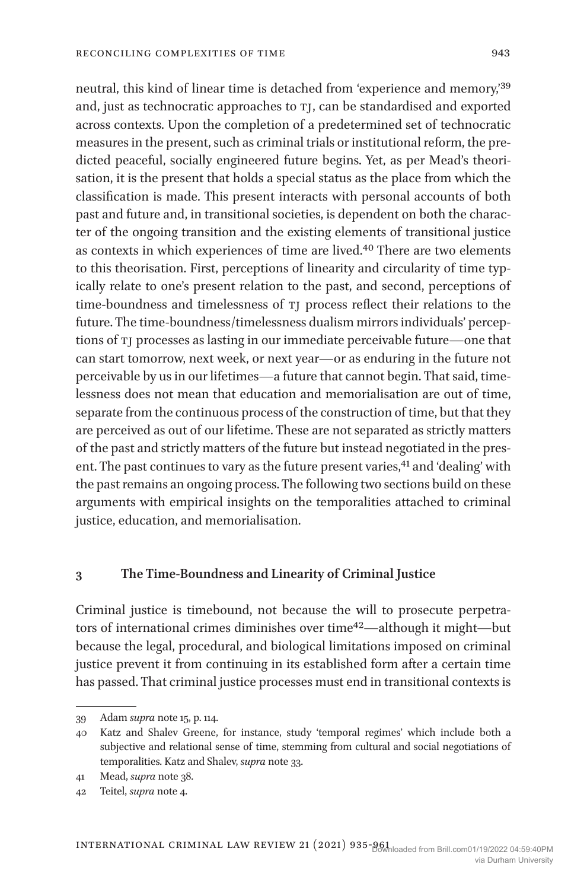neutral, this kind of linear time is detached from 'experience and memory,'39 and, just as technocratic approaches to TJ, can be standardised and exported across contexts. Upon the completion of a predetermined set of technocratic measures in the present, such as criminal trials or institutional reform, the predicted peaceful, socially engineered future begins. Yet, as per Mead's theorisation, it is the present that holds a special status as the place from which the classification is made. This present interacts with personal accounts of both past and future and, in transitional societies, is dependent on both the character of the ongoing transition and the existing elements of transitional justice as contexts in which experiences of time are lived.40 There are two elements to this theorisation. First, perceptions of linearity and circularity of time typically relate to one's present relation to the past, and second, perceptions of time-boundness and timelessness of tj process reflect their relations to the future. The time-boundness/timelessness dualism mirrors individuals' perceptions of tj processes as lasting in our immediate perceivable future—one that can start tomorrow, next week, or next year—or as enduring in the future not perceivable by us in our lifetimes—a future that cannot begin. That said, timelessness does not mean that education and memorialisation are out of time, separate from the continuous process of the construction of time, but that they are perceived as out of our lifetime. These are not separated as strictly matters of the past and strictly matters of the future but instead negotiated in the present. The past continues to vary as the future present varies,<sup>41</sup> and 'dealing' with the past remains an ongoing process. The following two sections build on these arguments with empirical insights on the temporalities attached to criminal justice, education, and memorialisation.

#### **3 The Time-Boundness and Linearity of Criminal Justice**

Criminal justice is timebound, not because the will to prosecute perpetrators of international crimes diminishes over time42—although it might—but because the legal, procedural, and biological limitations imposed on criminal justice prevent it from continuing in its established form after a certain time has passed. That criminal justice processes must end in transitional contexts is

<sup>39</sup> Adam *supra* note 15, p. 114.

<sup>40</sup> Katz and Shalev Greene, for instance, study 'temporal regimes' which include both a subjective and relational sense of time, stemming from cultural and social negotiations of temporalities. Katz and Shalev, *supra* note 33.

<sup>41</sup> Mead, *supra* note 38.

<sup>42</sup> Teitel, *supra* note 4.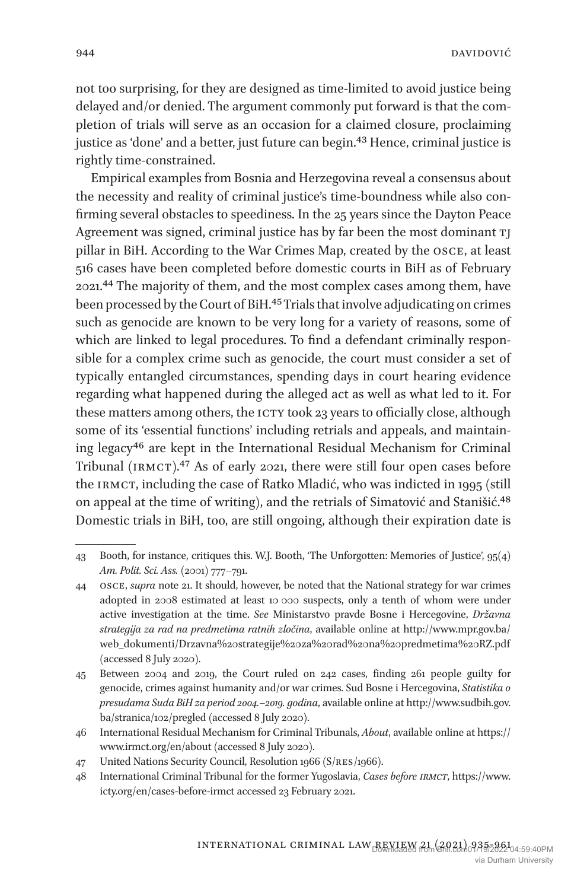not too surprising, for they are designed as time-limited to avoid justice being delayed and/or denied. The argument commonly put forward is that the completion of trials will serve as an occasion for a claimed closure, proclaiming justice as 'done' and a better, just future can begin.43 Hence, criminal justice is rightly time-constrained.

Empirical examples from Bosnia and Herzegovina reveal a consensus about the necessity and reality of criminal justice's time-boundness while also confirming several obstacles to speediness. In the 25 years since the Dayton Peace Agreement was signed, criminal justice has by far been the most dominant TI pillar in BiH. According to the War Crimes Map, created by the osce, at least 516 cases have been completed before domestic courts in BiH as of February 2021.44 The majority of them, and the most complex cases among them, have been processed by the Court of BiH.45 Trials that involve adjudicating on crimes such as genocide are known to be very long for a variety of reasons, some of which are linked to legal procedures. To find a defendant criminally responsible for a complex crime such as genocide, the court must consider a set of typically entangled circumstances, spending days in court hearing evidence regarding what happened during the alleged act as well as what led to it. For these matters among others, the ICTY took 23 years to officially close, although some of its 'essential functions' including retrials and appeals, and maintaining legacy46 are kept in the International Residual Mechanism for Criminal Tribunal (irmct).47 As of early 2021, there were still four open cases before the IRMCT, including the case of Ratko Mladić, who was indicted in 1995 (still on appeal at the time of writing), and the retrials of Simatović and Stanišić.48 Domestic trials in BiH, too, are still ongoing, although their expiration date is

<sup>43</sup> Booth, for instance, critiques this. W.J. Booth, 'The Unforgotten: Memories of Justice', 95(4) *Am. Polit. Sci. Ass.* (2001) 777–791.

<sup>44</sup> osce, *supra* note 21. It should, however, be noted that the National strategy for war crimes adopted in 2008 estimated at least 10 000 suspects, only a tenth of whom were under active investigation at the time. *See* Ministarstvo pravde Bosne i Hercegovine, *Državna strategija za rad na predmetima ratnih zločina*, available online at http://www.mpr.gov.ba/ web\_dokumenti/Drzavna%20strategije%20za%20rad%20na%20predmetima%20RZ.pdf (accessed 8 July 2020).

<sup>45</sup> Between 2004 and 2019, the Court ruled on 242 cases, finding 261 people guilty for genocide, crimes against humanity and/or war crimes. Sud Bosne i Hercegovina, *Statistika o presudama Suda BiH za period 2004.–2019. godina*, available online at http://www.sudbih.gov. ba/stranica/102/pregled (accessed 8 July 2020).

<sup>46</sup> International Residual Mechanism for Criminal Tribunals, *About*, available online at https:// www.irmct.org/en/about (accessed 8 July 2020).

<sup>47</sup> United Nations Security Council, Resolution 1966 (S/res/1966).

<sup>48</sup> International Criminal Tribunal for the former Yugoslavia, *Cases before irmct*, https://www. icty.org/en/cases-before-irmct accessed 23 February 2021.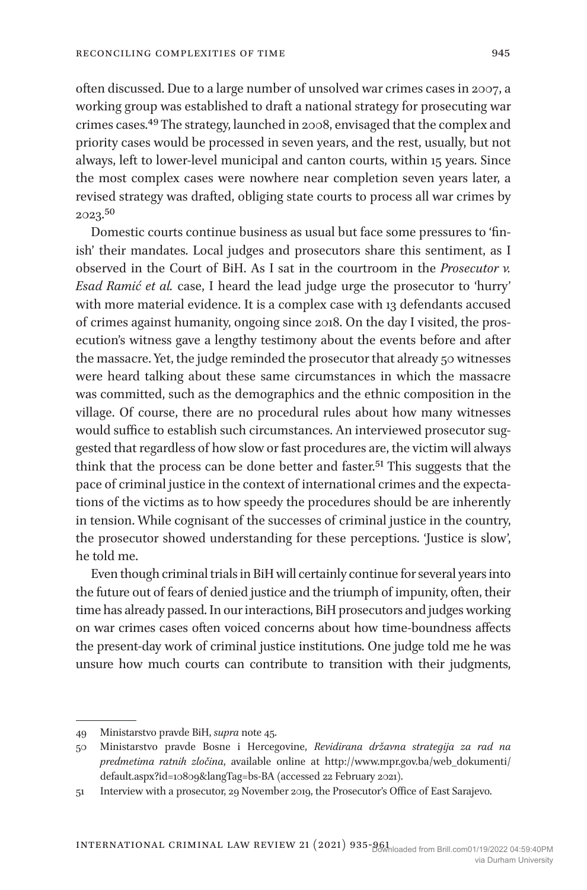often discussed. Due to a large number of unsolved war crimes cases in 2007, a working group was established to draft a national strategy for prosecuting war crimes cases.49 The strategy, launched in 2008, envisaged that the complex and priority cases would be processed in seven years, and the rest, usually, but not always, left to lower-level municipal and canton courts, within 15 years. Since the most complex cases were nowhere near completion seven years later, a revised strategy was drafted, obliging state courts to process all war crimes by 2023.50

Domestic courts continue business as usual but face some pressures to 'finish' their mandates. Local judges and prosecutors share this sentiment, as I observed in the Court of BiH. As I sat in the courtroom in the *Prosecutor v. Esad Ramić et al.* case, I heard the lead judge urge the prosecutor to 'hurry' with more material evidence. It is a complex case with 13 defendants accused of crimes against humanity, ongoing since 2018. On the day I visited, the prosecution's witness gave a lengthy testimony about the events before and after the massacre. Yet, the judge reminded the prosecutor that already 50 witnesses were heard talking about these same circumstances in which the massacre was committed, such as the demographics and the ethnic composition in the village. Of course, there are no procedural rules about how many witnesses would suffice to establish such circumstances. An interviewed prosecutor suggested that regardless of how slow or fast procedures are, the victim will always think that the process can be done better and faster.51 This suggests that the pace of criminal justice in the context of international crimes and the expectations of the victims as to how speedy the procedures should be are inherently in tension. While cognisant of the successes of criminal justice in the country, the prosecutor showed understanding for these perceptions. 'Justice is slow', he told me.

Even though criminal trials in BiH will certainly continue for several years into the future out of fears of denied justice and the triumph of impunity, often, their time has already passed. In our interactions, BiH prosecutors and judges working on war crimes cases often voiced concerns about how time-boundness affects the present-day work of criminal justice institutions. One judge told me he was unsure how much courts can contribute to transition with their judgments,

<sup>49</sup> Ministarstvo pravde BiH, *supra* note 45.

<sup>50</sup> Ministarstvo pravde Bosne i Hercegovine, *Revidirana državna strategija za rad na predmetima ratnih zločina*, available online at http://www.mpr.gov.ba/web\_dokumenti/ default.aspx?id=10809&langTag=bs-BA (accessed 22 February 2021).

<sup>51</sup> Interview with a prosecutor, 29 November 2019, the Prosecutor's Office of East Sarajevo.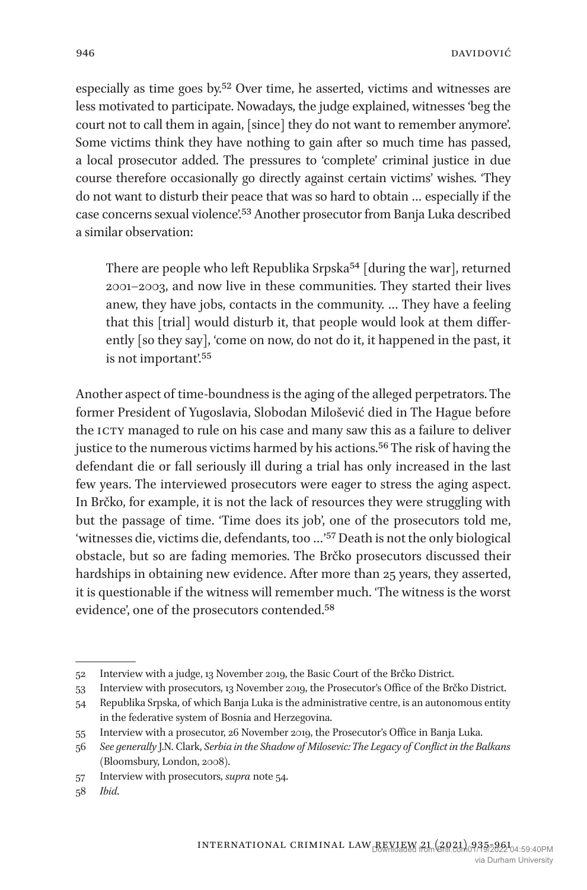especially as time goes by.52 Over time, he asserted, victims and witnesses are less motivated to participate. Nowadays, the judge explained, witnesses 'beg the court not to call them in again, [since] they do not want to remember anymore'. Some victims think they have nothing to gain after so much time has passed, a local prosecutor added. The pressures to 'complete' criminal justice in due course therefore occasionally go directly against certain victims' wishes. 'They do not want to disturb their peace that was so hard to obtain … especially if the case concerns sexual violence'.53 Another prosecutor from Banja Luka described a similar observation:

There are people who left Republika Srpska<sup>54</sup> [during the war], returned 2001–2003, and now live in these communities. They started their lives anew, they have jobs, contacts in the community. … They have a feeling that this [trial] would disturb it, that people would look at them differently [so they say], 'come on now, do not do it, it happened in the past, it is not important'.55

Another aspect of time-boundness is the aging of the alleged perpetrators. The former President of Yugoslavia, Slobodan Milošević died in The Hague before the ICTY managed to rule on his case and many saw this as a failure to deliver justice to the numerous victims harmed by his actions.<sup>56</sup> The risk of having the defendant die or fall seriously ill during a trial has only increased in the last few years. The interviewed prosecutors were eager to stress the aging aspect. In Brčko, for example, it is not the lack of resources they were struggling with but the passage of time. 'Time does its job', one of the prosecutors told me, 'witnesses die, victims die, defendants, too …'57 Death is not the only biological obstacle, but so are fading memories. The Brčko prosecutors discussed their hardships in obtaining new evidence. After more than 25 years, they asserted, it is questionable if the witness will remember much. 'The witness is the worst evidence', one of the prosecutors contended.58

<sup>52</sup> Interview with a judge, 13 November 2019, the Basic Court of the Brčko District.

<sup>53</sup> Interview with prosecutors, 13 November 2019, the Prosecutor's Office of the Brčko District.

<sup>54</sup> Republika Srpska, of which Banja Luka is the administrative centre, is an autonomous entity in the federative system of Bosnia and Herzegovina.

<sup>55</sup> Interview with a prosecutor, 26 November 2019, the Prosecutor's Office in Banja Luka.

<sup>56</sup> *See generally* J.N. Clark, *Serbia in the Shadow of Milosevic: The Legacy of Conflict in the Balkans* (Bloomsbury, London, 2008).

<sup>57</sup> Interview with prosecutors, *supra* note 54.

<sup>58</sup> *Ibid*.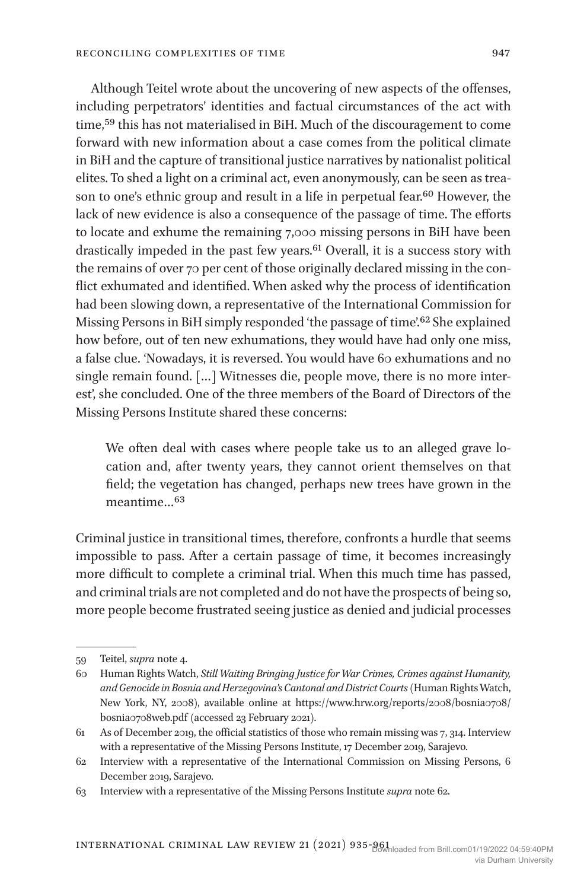Although Teitel wrote about the uncovering of new aspects of the offenses, including perpetrators' identities and factual circumstances of the act with time,59 this has not materialised in BiH. Much of the discouragement to come forward with new information about a case comes from the political climate in BiH and the capture of transitional justice narratives by nationalist political elites. To shed a light on a criminal act, even anonymously, can be seen as treason to one's ethnic group and result in a life in perpetual fear.<sup>60</sup> However, the lack of new evidence is also a consequence of the passage of time. The efforts to locate and exhume the remaining 7,000 missing persons in BiH have been drastically impeded in the past few years.61 Overall, it is a success story with the remains of over 70 per cent of those originally declared missing in the conflict exhumated and identified. When asked why the process of identification had been slowing down, a representative of the International Commission for Missing Persons in BiH simply responded 'the passage of time'.<sup>62</sup> She explained how before, out of ten new exhumations, they would have had only one miss, a false clue. 'Nowadays, it is reversed. You would have 60 exhumations and no single remain found. […] Witnesses die, people move, there is no more interest', she concluded. One of the three members of the Board of Directors of the Missing Persons Institute shared these concerns:

We often deal with cases where people take us to an alleged grave location and, after twenty years, they cannot orient themselves on that field; the vegetation has changed, perhaps new trees have grown in the meantime…63

Criminal justice in transitional times, therefore, confronts a hurdle that seems impossible to pass. After a certain passage of time, it becomes increasingly more difficult to complete a criminal trial. When this much time has passed, and criminal trials are not completed and do not have the prospects of being so, more people become frustrated seeing justice as denied and judicial processes

<sup>59</sup> Teitel, *supra* note 4.

<sup>60</sup> Human Rights Watch, *Still Waiting Bringing Justice for War Crimes, Crimes against Humanity, and Genocide in Bosnia and Herzegovina's Cantonal and District Courts* (Human Rights Watch, New York, NY, 2008), available online at https://www.hrw.org/reports/2008/bosnia0708/ bosnia0708web.pdf (accessed 23 February 2021).

<sup>61</sup> As of December 2019, the official statistics of those who remain missing was 7, 314. Interview with a representative of the Missing Persons Institute, 17 December 2019, Sarajevo.

<sup>62</sup> Interview with a representative of the International Commission on Missing Persons, 6 December 2019, Sarajevo.

<sup>63</sup> Interview with a representative of the Missing Persons Institute *supra* note 62.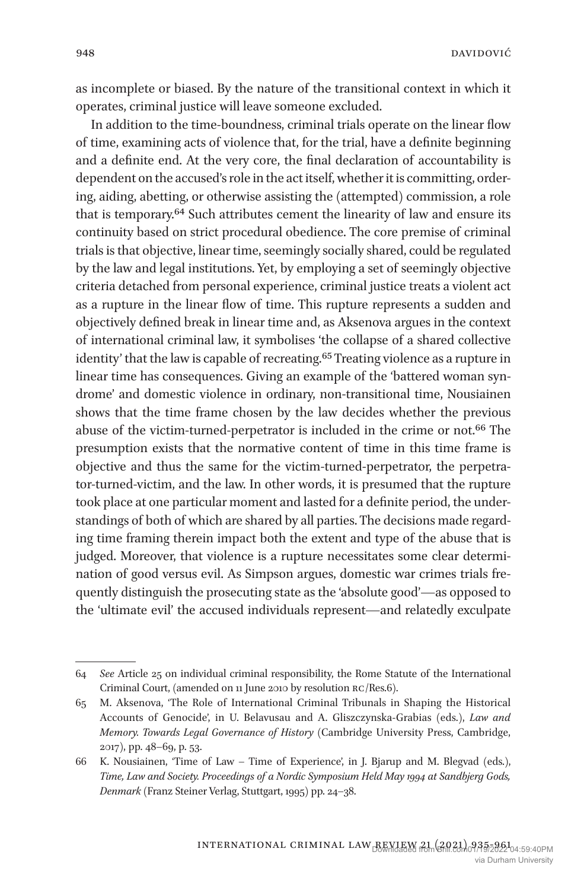as incomplete or biased. By the nature of the transitional context in which it operates, criminal justice will leave someone excluded.

In addition to the time-boundness, criminal trials operate on the linear flow of time, examining acts of violence that, for the trial, have a definite beginning and a definite end. At the very core, the final declaration of accountability is dependent on the accused's role in the act itself, whether it is committing, ordering, aiding, abetting, or otherwise assisting the (attempted) commission, a role that is temporary.64 Such attributes cement the linearity of law and ensure its continuity based on strict procedural obedience. The core premise of criminal trials is that objective, linear time, seemingly socially shared, could be regulated by the law and legal institutions. Yet, by employing a set of seemingly objective criteria detached from personal experience, criminal justice treats a violent act as a rupture in the linear flow of time. This rupture represents a sudden and objectively defined break in linear time and, as Aksenova argues in the context of international criminal law, it symbolises 'the collapse of a shared collective identity' that the law is capable of recreating.65 Treating violence as a rupture in linear time has consequences. Giving an example of the 'battered woman syndrome' and domestic violence in ordinary, non-transitional time, Nousiainen shows that the time frame chosen by the law decides whether the previous abuse of the victim-turned-perpetrator is included in the crime or not.66 The presumption exists that the normative content of time in this time frame is objective and thus the same for the victim-turned-perpetrator, the perpetrator-turned-victim, and the law. In other words, it is presumed that the rupture took place at one particular moment and lasted for a definite period, the understandings of both of which are shared by all parties. The decisions made regarding time framing therein impact both the extent and type of the abuse that is judged. Moreover, that violence is a rupture necessitates some clear determination of good versus evil. As Simpson argues, domestic war crimes trials frequently distinguish the prosecuting state as the 'absolute good'—as opposed to the 'ultimate evil' the accused individuals represent—and relatedly exculpate

<sup>64</sup> *See* Article 25 on individual criminal responsibility, the Rome Statute of the International Criminal Court, (amended on 11 June 2010 by resolution rc/Res.6).

<sup>65</sup> M. Aksenova, 'The Role of International Criminal Tribunals in Shaping the Historical Accounts of Genocide', in U. Belavusau and A. Gliszczynska-Grabias (eds.), *Law and Memory. Towards Legal Governance of History* (Cambridge University Press, Cambridge, 2017), pp. 48–69, p. 53.

<sup>66</sup> K. Nousiainen, 'Time of Law – Time of Experience', in J. Bjarup and M. Blegvad (eds.), *Time, Law and Society. Proceedings of a Nordic Symposium Held May 1994 at Sandbjerg Gods, Denmark* (Franz Steiner Verlag, Stuttgart, 1995) pp. 24–38.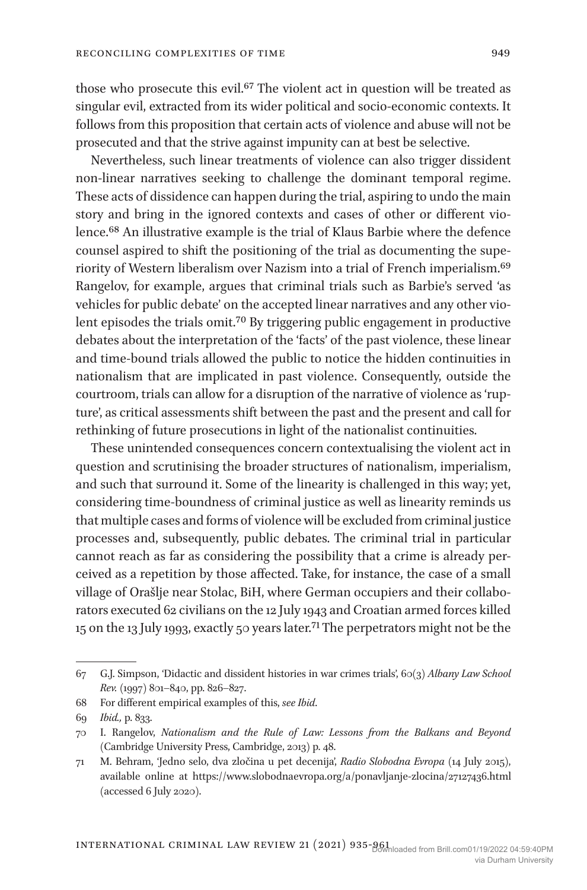those who prosecute this evil.<sup>67</sup> The violent act in question will be treated as singular evil, extracted from its wider political and socio-economic contexts. It follows from this proposition that certain acts of violence and abuse will not be prosecuted and that the strive against impunity can at best be selective.

Nevertheless, such linear treatments of violence can also trigger dissident non-linear narratives seeking to challenge the dominant temporal regime. These acts of dissidence can happen during the trial, aspiring to undo the main story and bring in the ignored contexts and cases of other or different violence.68 An illustrative example is the trial of Klaus Barbie where the defence counsel aspired to shift the positioning of the trial as documenting the superiority of Western liberalism over Nazism into a trial of French imperialism.69 Rangelov, for example, argues that criminal trials such as Barbie's served 'as vehicles for public debate' on the accepted linear narratives and any other violent episodes the trials omit.70 By triggering public engagement in productive debates about the interpretation of the 'facts' of the past violence, these linear and time-bound trials allowed the public to notice the hidden continuities in nationalism that are implicated in past violence. Consequently, outside the courtroom, trials can allow for a disruption of the narrative of violence as 'rupture', as critical assessments shift between the past and the present and call for rethinking of future prosecutions in light of the nationalist continuities.

These unintended consequences concern contextualising the violent act in question and scrutinising the broader structures of nationalism, imperialism, and such that surround it. Some of the linearity is challenged in this way; yet, considering time-boundness of criminal justice as well as linearity reminds us that multiple cases and forms of violence will be excluded from criminal justice processes and, subsequently, public debates. The criminal trial in particular cannot reach as far as considering the possibility that a crime is already perceived as a repetition by those affected. Take, for instance, the case of a small village of Orašlje near Stolac, BiH, where German occupiers and their collaborators executed 62 civilians on the 12 July 1943 and Croatian armed forces killed 15 on the 13 July 1993, exactly 50 years later.71 The perpetrators might not be the

<sup>67</sup> G.J. Simpson, 'Didactic and dissident histories in war crimes trials', 60(3) *Albany Law School Rev.* (1997) 801–840, pp. 826–827.

<sup>68</sup> For different empirical examples of this, *see Ibid*.

<sup>69</sup> *Ibid.,* p. 833.

<sup>70</sup> I. Rangelov, *Nationalism and the Rule of Law: Lessons from the Balkans and Beyond* (Cambridge University Press, Cambridge, 2013) p. 48.

<sup>71</sup> M. Behram, 'Jedno selo, dva zločina u pet decenija', *Radio Slobodna Evropa* (14 July 2015), available online at https://www.slobodnaevropa.org/a/ponavljanje-zlocina/27127436.html (accessed 6 July 2020).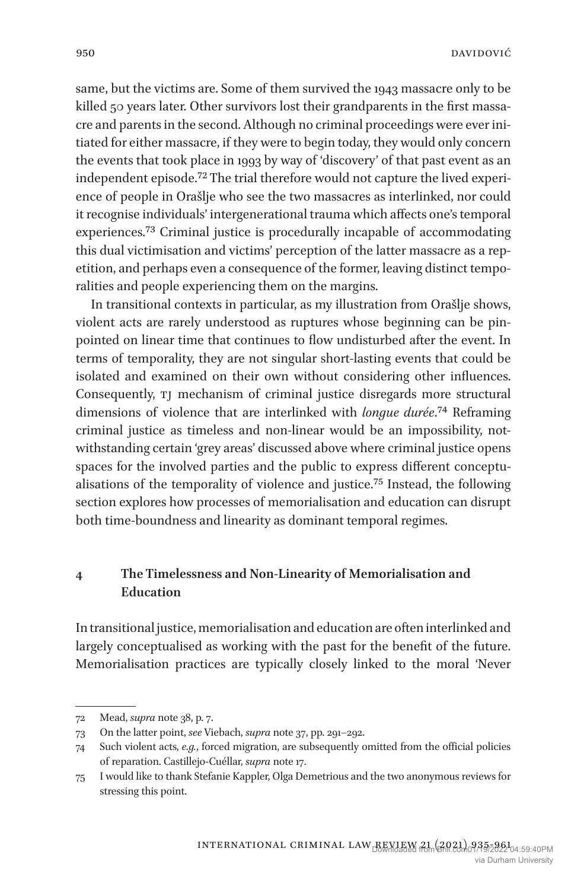same, but the victims are. Some of them survived the 1943 massacre only to be killed 50 years later. Other survivors lost their grandparents in the first massacre and parents in the second. Although no criminal proceedings were ever initiated for either massacre, if they were to begin today, they would only concern the events that took place in 1993 by way of 'discovery' of that past event as an independent episode.72 The trial therefore would not capture the lived experience of people in Orašlje who see the two massacres as interlinked, nor could it recognise individuals' intergenerational trauma which affects one's temporal experiences.73 Criminal justice is procedurally incapable of accommodating this dual victimisation and victims' perception of the latter massacre as a repetition, and perhaps even a consequence of the former, leaving distinct temporalities and people experiencing them on the margins.

In transitional contexts in particular, as my illustration from Orašlje shows, violent acts are rarely understood as ruptures whose beginning can be pinpointed on linear time that continues to flow undisturbed after the event. In terms of temporality, they are not singular short-lasting events that could be isolated and examined on their own without considering other influences. Consequently,  $TJ$  mechanism of criminal justice disregards more structural dimensions of violence that are interlinked with *longue durée*.74 Reframing criminal justice as timeless and non-linear would be an impossibility, notwithstanding certain 'grey areas' discussed above where criminal justice opens spaces for the involved parties and the public to express different conceptualisations of the temporality of violence and justice.75 Instead, the following section explores how processes of memorialisation and education can disrupt both time-boundness and linearity as dominant temporal regimes.

## **4 The Timelessness and Non-Linearity of Memorialisation and Education**

In transitional justice, memorialisation and education are often interlinked and largely conceptualised as working with the past for the benefit of the future. Memorialisation practices are typically closely linked to the moral 'Never

<sup>72</sup> Mead, *supra* note 38, p. 7.

<sup>73</sup> On the latter point, *see* Viebach, *supra* note 37, pp. 291–292.

<sup>74</sup> Such violent acts, *e.g.*, forced migration, are subsequently omitted from the official policies of reparation. Castillejo-Cuéllar, *supra* note 17.

<sup>75</sup> I would like to thank Stefanie Kappler, Olga Demetrious and the two anonymous reviews for stressing this point.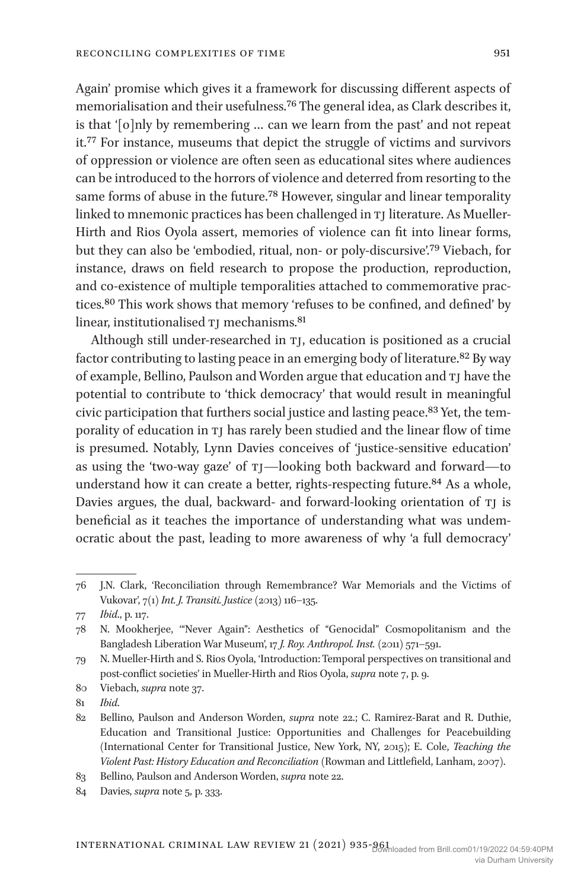Again' promise which gives it a framework for discussing different aspects of memorialisation and their usefulness.76 The general idea, as Clark describes it, is that '[o]nly by remembering … can we learn from the past' and not repeat it.77 For instance, museums that depict the struggle of victims and survivors of oppression or violence are often seen as educational sites where audiences can be introduced to the horrors of violence and deterred from resorting to the same forms of abuse in the future.78 However, singular and linear temporality linked to mnemonic practices has been challenged in TJ literature. As Mueller-Hirth and Rios Oyola assert, memories of violence can fit into linear forms, but they can also be 'embodied, ritual, non- or poly-discursive'.79 Viebach, for instance, draws on field research to propose the production, reproduction, and co-existence of multiple temporalities attached to commemorative practices.80 This work shows that memory 'refuses to be confined, and defined' by linear, institutionalised TJ mechanisms.<sup>81</sup>

Although still under-researched in TI, education is positioned as a crucial factor contributing to lasting peace in an emerging body of literature.82 By way of example, Bellino, Paulson and Worden argue that education and TJ have the potential to contribute to 'thick democracy' that would result in meaningful civic participation that furthers social justice and lasting peace.83 Yet, the temporality of education in TJ has rarely been studied and the linear flow of time is presumed. Notably, Lynn Davies conceives of 'justice-sensitive education' as using the 'two-way gaze' of tj—looking both backward and forward—to understand how it can create a better, rights-respecting future.<sup>84</sup> As a whole, Davies argues, the dual, backward- and forward-looking orientation of TJ is beneficial as it teaches the importance of understanding what was undemocratic about the past, leading to more awareness of why 'a full democracy'

81 *Ibid*.

83 Bellino, Paulson and Anderson Worden, *supra* note 22.

<sup>76</sup> J.N. Clark, 'Reconciliation through Remembrance? War Memorials and the Victims of Vukovar', 7(1) *Int. J. Transiti. Justice* (2013) 116–135.

<sup>77</sup> *Ibid*., p. 117.

<sup>78</sup> N. Mookherjee, '"Never Again": Aesthetics of "Genocidal" Cosmopolitanism and the Bangladesh Liberation War Museum', 17 *J. Roy. Anthropol. Inst.* (2011) 571–591.

<sup>79</sup> N. Mueller-Hirth and S. Rios Oyola, 'Introduction: Temporal perspectives on transitional and post-conflict societies' in Mueller-Hirth and Rios Oyola, *supra* note 7, p. 9.

<sup>80</sup> Viebach, *supra* note 37.

<sup>82</sup> Bellino, Paulson and Anderson Worden, *supra* note 22.; C. Ramirez-Barat and R. Duthie, Education and Transitional Justice: Opportunities and Challenges for Peacebuilding (International Center for Transitional Justice, New York, NY, 2015); E. Cole, *Teaching the Violent Past: History Education and Reconciliation* (Rowman and Littlefield, Lanham, 2007).

<sup>84</sup> Davies, *supra* note 5, p. 333.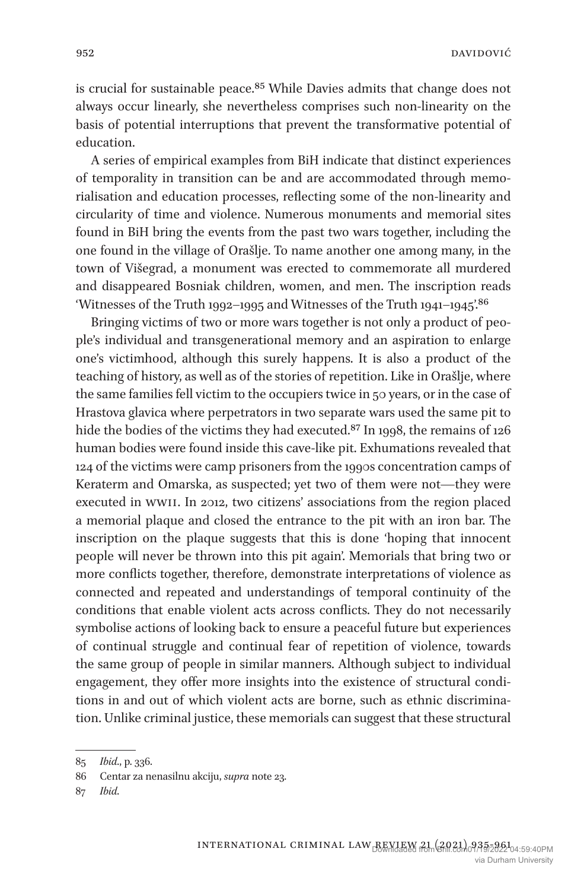is crucial for sustainable peace.<sup>85</sup> While Davies admits that change does not always occur linearly, she nevertheless comprises such non-linearity on the basis of potential interruptions that prevent the transformative potential of education.

A series of empirical examples from BiH indicate that distinct experiences of temporality in transition can be and are accommodated through memorialisation and education processes, reflecting some of the non-linearity and circularity of time and violence. Numerous monuments and memorial sites found in BiH bring the events from the past two wars together, including the one found in the village of Orašlje. To name another one among many, in the town of Višegrad, a monument was erected to commemorate all murdered and disappeared Bosniak children, women, and men. The inscription reads 'Witnesses of the Truth 1992–1995 and Witnesses of the Truth 1941–1945'.<sup>86</sup>

Bringing victims of two or more wars together is not only a product of people's individual and transgenerational memory and an aspiration to enlarge one's victimhood, although this surely happens. It is also a product of the teaching of history, as well as of the stories of repetition. Like in Orašlje, where the same families fell victim to the occupiers twice in 50 years, or in the case of Hrastova glavica where perpetrators in two separate wars used the same pit to hide the bodies of the victims they had executed.<sup>87</sup> In 1998, the remains of 126 human bodies were found inside this cave-like pit. Exhumations revealed that 124 of the victims were camp prisoners from the 1990s concentration camps of Keraterm and Omarska, as suspected; yet two of them were not—they were executed in wwii. In 2012, two citizens' associations from the region placed a memorial plaque and closed the entrance to the pit with an iron bar. The inscription on the plaque suggests that this is done 'hoping that innocent people will never be thrown into this pit again'. Memorials that bring two or more conflicts together, therefore, demonstrate interpretations of violence as connected and repeated and understandings of temporal continuity of the conditions that enable violent acts across conflicts. They do not necessarily symbolise actions of looking back to ensure a peaceful future but experiences of continual struggle and continual fear of repetition of violence, towards the same group of people in similar manners. Although subject to individual engagement, they offer more insights into the existence of structural conditions in and out of which violent acts are borne, such as ethnic discrimination. Unlike criminal justice, these memorials can suggest that these structural

<sup>85</sup> *Ibid*., p. 336.

<sup>86</sup> Centar za nenasilnu akciju, *supra* note 23.

<sup>87</sup> *Ibid*.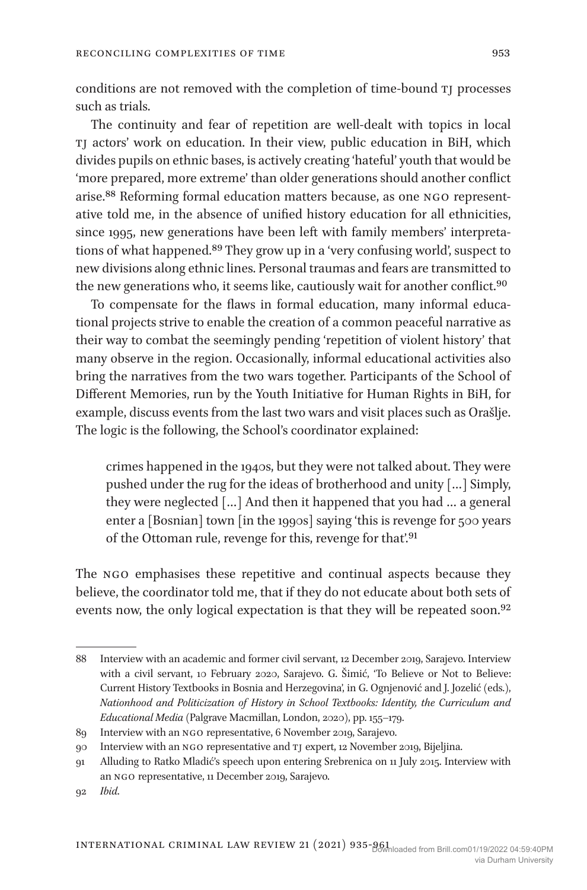conditions are not removed with the completion of time-bound TJ processes such as trials.

The continuity and fear of repetition are well-dealt with topics in local tj actors' work on education. In their view, public education in BiH, which divides pupils on ethnic bases, is actively creating 'hateful' youth that would be 'more prepared, more extreme' than older generations should another conflict arise.88 Reforming formal education matters because, as one ngo representative told me, in the absence of unified history education for all ethnicities, since 1995, new generations have been left with family members' interpretations of what happened.89 They grow up in a 'very confusing world', suspect to new divisions along ethnic lines. Personal traumas and fears are transmitted to the new generations who, it seems like, cautiously wait for another conflict.<sup>90</sup>

To compensate for the flaws in formal education, many informal educational projects strive to enable the creation of a common peaceful narrative as their way to combat the seemingly pending 'repetition of violent history' that many observe in the region. Occasionally, informal educational activities also bring the narratives from the two wars together. Participants of the School of Different Memories, run by the Youth Initiative for Human Rights in BiH, for example, discuss events from the last two wars and visit places such as Orašlje. The logic is the following, the School's coordinator explained:

crimes happened in the 1940s, but they were not talked about. They were pushed under the rug for the ideas of brotherhood and unity […] Simply, they were neglected […] And then it happened that you had … a general enter a [Bosnian] town [in the 1990s] saying 'this is revenge for 500 years of the Ottoman rule, revenge for this, revenge for that'.<sup>91</sup>

The NGO emphasises these repetitive and continual aspects because they believe, the coordinator told me, that if they do not educate about both sets of events now, the only logical expectation is that they will be repeated soon.<sup>92</sup>

<sup>88</sup> Interview with an academic and former civil servant, 12 December 2019, Sarajevo. Interview with a civil servant, 10 February 2020, Sarajevo. G. Šimić, 'To Believe or Not to Believe: Current History Textbooks in Bosnia and Herzegovina', in G. Ognjenović and J. Jozelić (eds.), *Nationhood and Politicization of History in School Textbooks: Identity, the Curriculum and Educational Media* (Palgrave Macmillan, London, 2020), pp. 155–179.

<sup>89</sup> Interview with an ngo representative, 6 November 2019, Sarajevo.

<sup>90</sup> Interview with an ngo representative and tj expert, 12 November 2019, Bijeljina.

<sup>91</sup> Alluding to Ratko Mladić's speech upon entering Srebrenica on 11 July 2015. Interview with an ngo representative, 11 December 2019, Sarajevo.

<sup>92</sup> *Ibid*.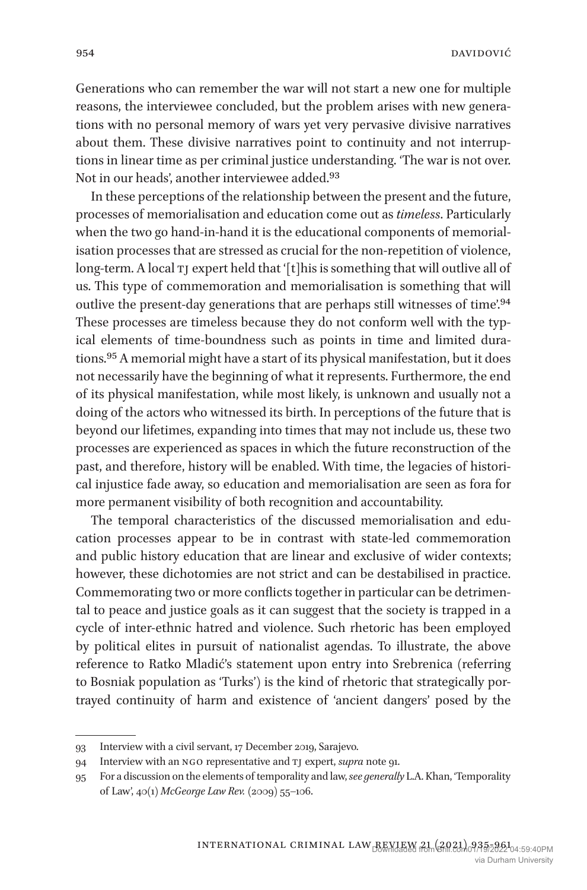Generations who can remember the war will not start a new one for multiple reasons, the interviewee concluded, but the problem arises with new generations with no personal memory of wars yet very pervasive divisive narratives about them. These divisive narratives point to continuity and not interruptions in linear time as per criminal justice understanding. 'The war is not over. Not in our heads', another interviewee added.<sup>93</sup>

In these perceptions of the relationship between the present and the future, processes of memorialisation and education come out as *timeless*. Particularly when the two go hand-in-hand it is the educational components of memorialisation processes that are stressed as crucial for the non-repetition of violence, long-term. A local TJ expert held that '[t]his is something that will outlive all of us. This type of commemoration and memorialisation is something that will outlive the present-day generations that are perhaps still witnesses of time'.94 These processes are timeless because they do not conform well with the typical elements of time-boundness such as points in time and limited durations.95 A memorial might have a start of its physical manifestation, but it does not necessarily have the beginning of what it represents. Furthermore, the end of its physical manifestation, while most likely, is unknown and usually not a doing of the actors who witnessed its birth. In perceptions of the future that is beyond our lifetimes, expanding into times that may not include us, these two processes are experienced as spaces in which the future reconstruction of the past, and therefore, history will be enabled. With time, the legacies of historical injustice fade away, so education and memorialisation are seen as fora for more permanent visibility of both recognition and accountability.

The temporal characteristics of the discussed memorialisation and education processes appear to be in contrast with state-led commemoration and public history education that are linear and exclusive of wider contexts; however, these dichotomies are not strict and can be destabilised in practice. Commemorating two or more conflicts together in particular can be detrimental to peace and justice goals as it can suggest that the society is trapped in a cycle of inter-ethnic hatred and violence. Such rhetoric has been employed by political elites in pursuit of nationalist agendas. To illustrate, the above reference to Ratko Mladić's statement upon entry into Srebrenica (referring to Bosniak population as 'Turks') is the kind of rhetoric that strategically portrayed continuity of harm and existence of 'ancient dangers' posed by the

<sup>93</sup> Interview with a civil servant, 17 December 2019, Sarajevo.

<sup>94</sup> Interview with an ngo representative and tj expert, *supra* note 91.

<sup>95</sup> For a discussion on the elements of temporality and law, *see generally* L.A. Khan, 'Temporality of Law', 40(1) *McGeorge Law Rev.* (2009) 55–106.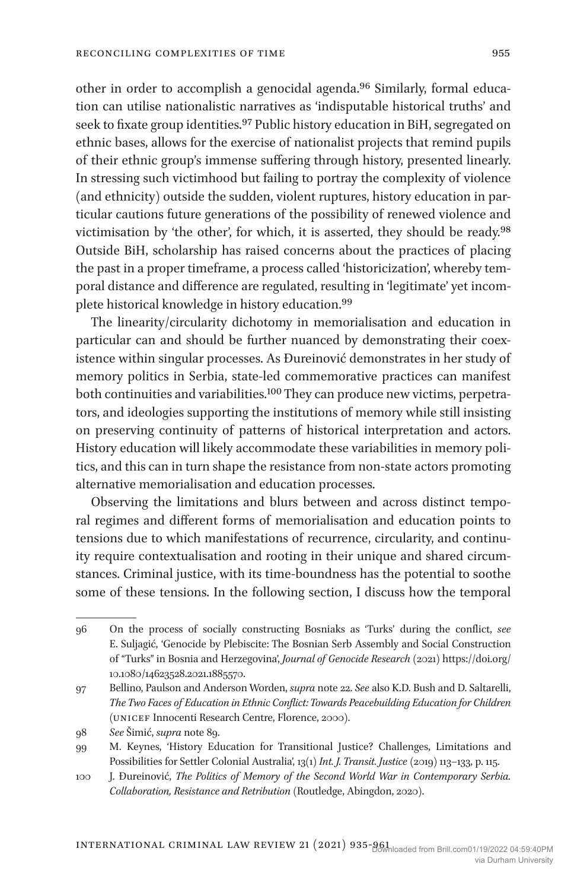other in order to accomplish a genocidal agenda.96 Similarly, formal education can utilise nationalistic narratives as 'indisputable historical truths' and seek to fixate group identities.<sup>97</sup> Public history education in BiH, segregated on ethnic bases, allows for the exercise of nationalist projects that remind pupils of their ethnic group's immense suffering through history, presented linearly. In stressing such victimhood but failing to portray the complexity of violence (and ethnicity) outside the sudden, violent ruptures, history education in particular cautions future generations of the possibility of renewed violence and victimisation by 'the other', for which, it is asserted, they should be ready.98 Outside BiH, scholarship has raised concerns about the practices of placing the past in a proper timeframe, a process called 'historicization', whereby temporal distance and difference are regulated, resulting in 'legitimate' yet incomplete historical knowledge in history education.99

The linearity/circularity dichotomy in memorialisation and education in particular can and should be further nuanced by demonstrating their coexistence within singular processes. As Đureinović demonstrates in her study of memory politics in Serbia, state-led commemorative practices can manifest both continuities and variabilities.100 They can produce new victims, perpetrators, and ideologies supporting the institutions of memory while still insisting on preserving continuity of patterns of historical interpretation and actors. History education will likely accommodate these variabilities in memory politics, and this can in turn shape the resistance from non-state actors promoting alternative memorialisation and education processes.

Observing the limitations and blurs between and across distinct temporal regimes and different forms of memorialisation and education points to tensions due to which manifestations of recurrence, circularity, and continuity require contextualisation and rooting in their unique and shared circumstances. Criminal justice, with its time-boundness has the potential to soothe some of these tensions. In the following section, I discuss how the temporal

<sup>96</sup> On the process of socially constructing Bosniaks as 'Turks' during the conflict, *see* E. Suljagić, 'Genocide by Plebiscite: The Bosnian Serb Assembly and Social Construction of "Turks" in Bosnia and Herzegovina', *Journal of Genocide Research* (2021) https://doi.org/ 10.1080/14623528.2021.1885570.

<sup>97</sup> Bellino, Paulson and Anderson Worden, *supra* note 22. *See* also K.D. Bush and D. Saltarelli, *The Two Faces of Education in Ethnic Conflict: Towards Peacebuilding Education for Children* (unicef Innocenti Research Centre, Florence, 2000).

<sup>98</sup> *See* Šimić, *supra* note 89.

<sup>99</sup> M. Keynes, 'History Education for Transitional Justice? Challenges, Limitations and Possibilities for Settler Colonial Australia', 13(1) *Int. J. Transit. Justice* (2019) 113–133, p. 115.

<sup>100</sup> J. Đureinović, *The Politics of Memory of the Second World War in Contemporary Serbia. Collaboration, Resistance and Retribution* (Routledge, Abingdon, 2020).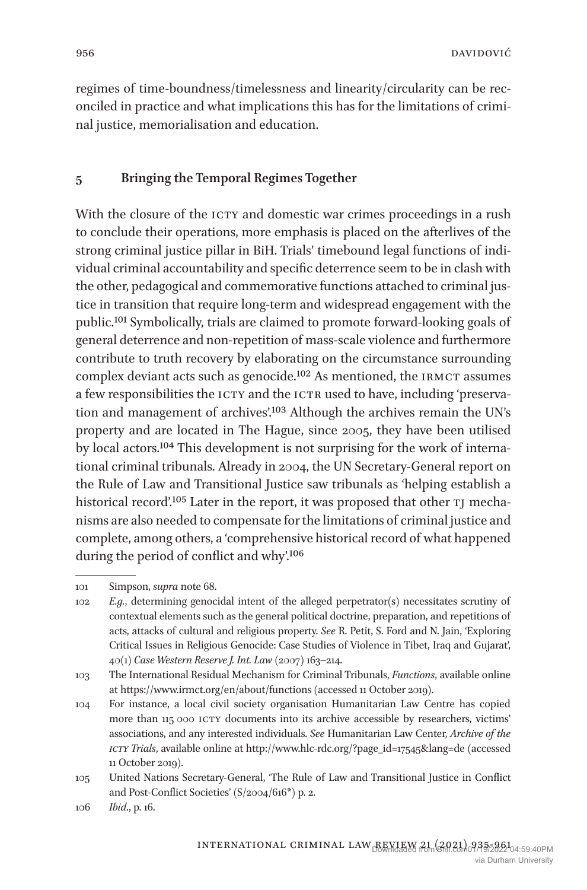regimes of time-boundness/timelessness and linearity/circularity can be reconciled in practice and what implications this has for the limitations of criminal justice, memorialisation and education.

#### **5 Bringing the Temporal Regimes Together**

With the closure of the ICTY and domestic war crimes proceedings in a rush to conclude their operations, more emphasis is placed on the afterlives of the strong criminal justice pillar in BiH. Trials' timebound legal functions of individual criminal accountability and specific deterrence seem to be in clash with the other, pedagogical and commemorative functions attached to criminal justice in transition that require long-term and widespread engagement with the public.101 Symbolically, trials are claimed to promote forward-looking goals of general deterrence and non-repetition of mass-scale violence and furthermore contribute to truth recovery by elaborating on the circumstance surrounding complex deviant acts such as genocide.<sup>102</sup> As mentioned, the IRMCT assumes a few responsibilities the ICTY and the ICTR used to have, including 'preservation and management of archives'.103 Although the archives remain the UN's property and are located in The Hague, since 2005, they have been utilised by local actors.104 This development is not surprising for the work of international criminal tribunals. Already in 2004, the UN Secretary-General report on the Rule of Law and Transitional Justice saw tribunals as 'helping establish a historical record'.<sup>105</sup> Later in the report, it was proposed that other TJ mechanisms are also needed to compensate for the limitations of criminal justice and complete, among others, a 'comprehensive historical record of what happened during the period of conflict and why'.106

<sup>101</sup> Simpson, *supra* note 68.

<sup>102</sup> *E.g.*, determining genocidal intent of the alleged perpetrator(s) necessitates scrutiny of contextual elements such as the general political doctrine, preparation, and repetitions of acts, attacks of cultural and religious property. *See* R. Petit, S. Ford and N. Jain, 'Exploring Critical Issues in Religious Genocide: Case Studies of Violence in Tibet, Iraq and Gujarat', 40(1) *Case Western Reserve J. Int. Law* (2007) 163–214.

<sup>103</sup> The International Residual Mechanism for Criminal Tribunals, *Functions*, available online at https://www.irmct.org/en/about/functions (accessed 11 October 2019).

<sup>104</sup> For instance, a local civil society organisation Humanitarian Law Centre has copied more than 115 000 ICTY documents into its archive accessible by researchers, victims' associations, and any interested individuals. *See* Humanitarian Law Center, *Archive of the icty Trials*, available online at http://www.hlc-rdc.org/?page\_id=17545&lang=de (accessed 11 October 2019).

<sup>105</sup> United Nations Secretary-General, 'The Rule of Law and Transitional Justice in Conflict and Post-Conflict Societies' (S/2004/616\*) p. 2.

<sup>106</sup> *Ibid*., p. 16.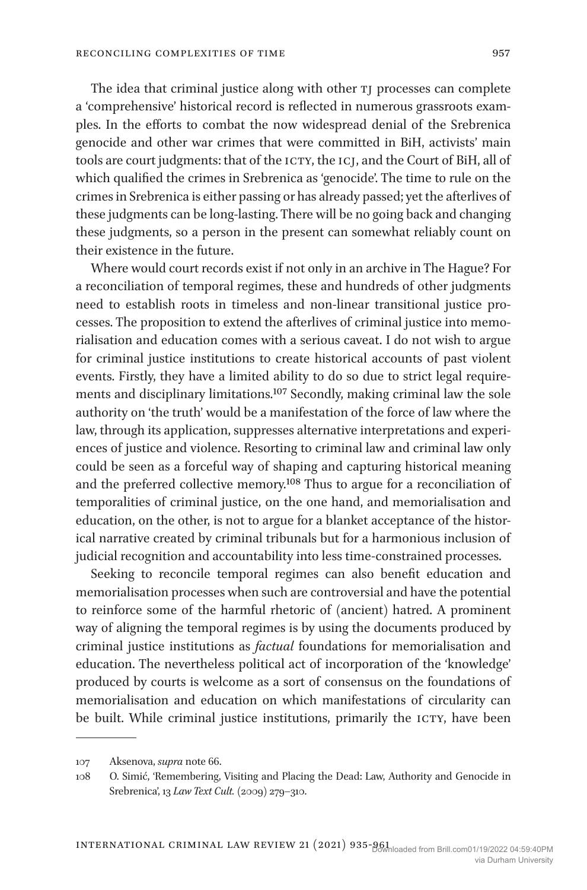The idea that criminal justice along with other  $TJ$  processes can complete a 'comprehensive' historical record is reflected in numerous grassroots examples. In the efforts to combat the now widespread denial of the Srebrenica genocide and other war crimes that were committed in BiH, activists' main tools are court judgments: that of the ICTY, the ICJ, and the Court of BiH, all of which qualified the crimes in Srebrenica as 'genocide'. The time to rule on the crimes in Srebrenica is either passing or has already passed; yet the afterlives of these judgments can be long-lasting. There will be no going back and changing these judgments, so a person in the present can somewhat reliably count on their existence in the future.

Where would court records exist if not only in an archive in The Hague? For a reconciliation of temporal regimes, these and hundreds of other judgments need to establish roots in timeless and non-linear transitional justice processes. The proposition to extend the afterlives of criminal justice into memorialisation and education comes with a serious caveat. I do not wish to argue for criminal justice institutions to create historical accounts of past violent events. Firstly, they have a limited ability to do so due to strict legal requirements and disciplinary limitations.107 Secondly, making criminal law the sole authority on 'the truth' would be a manifestation of the force of law where the law, through its application, suppresses alternative interpretations and experiences of justice and violence. Resorting to criminal law and criminal law only could be seen as a forceful way of shaping and capturing historical meaning and the preferred collective memory.108 Thus to argue for a reconciliation of temporalities of criminal justice, on the one hand, and memorialisation and education, on the other, is not to argue for a blanket acceptance of the historical narrative created by criminal tribunals but for a harmonious inclusion of judicial recognition and accountability into less time-constrained processes.

Seeking to reconcile temporal regimes can also benefit education and memorialisation processes when such are controversial and have the potential to reinforce some of the harmful rhetoric of (ancient) hatred. A prominent way of aligning the temporal regimes is by using the documents produced by criminal justice institutions as *factual* foundations for memorialisation and education. The nevertheless political act of incorporation of the 'knowledge' produced by courts is welcome as a sort of consensus on the foundations of memorialisation and education on which manifestations of circularity can be built. While criminal justice institutions, primarily the ICTY, have been

<sup>107</sup> Aksenova, *supra* note 66.

<sup>108</sup> O. Simić, 'Remembering, Visiting and Placing the Dead: Law, Authority and Genocide in Srebrenica', 13 *Law Text Cult.* (2009) 279–310.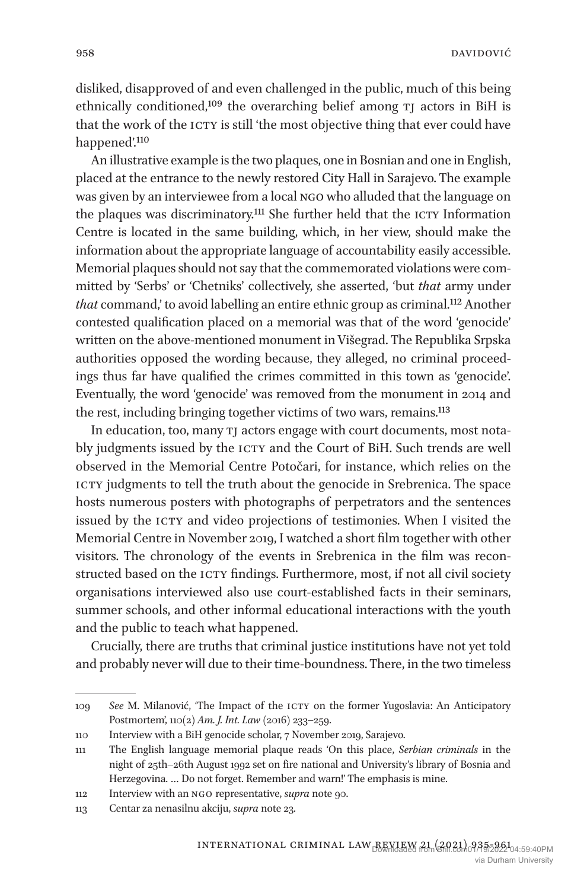disliked, disapproved of and even challenged in the public, much of this being ethnically conditioned,<sup>109</sup> the overarching belief among TJ actors in BiH is that the work of the ICTY is still 'the most objective thing that ever could have happened'.110

An illustrative example is the two plaques, one in Bosnian and one in English, placed at the entrance to the newly restored City Hall in Sarajevo. The example was given by an interviewee from a local NGO who alluded that the language on the plaques was discriminatory.<sup>111</sup> She further held that the ICTY Information Centre is located in the same building, which, in her view, should make the information about the appropriate language of accountability easily accessible. Memorial plaques should not say that the commemorated violations were committed by 'Serbs' or 'Chetniks' collectively, she asserted, 'but *that* army under *that* command,' to avoid labelling an entire ethnic group as criminal.112 Another contested qualification placed on a memorial was that of the word 'genocide' written on the above-mentioned monument in Višegrad. The Republika Srpska authorities opposed the wording because, they alleged, no criminal proceedings thus far have qualified the crimes committed in this town as 'genocide'. Eventually, the word 'genocide' was removed from the monument in 2014 and the rest, including bringing together victims of two wars, remains.<sup>113</sup>

In education, too, many tj actors engage with court documents, most notably judgments issued by the ICTY and the Court of BiH. Such trends are well observed in the Memorial Centre Potočari, for instance, which relies on the ICTY judgments to tell the truth about the genocide in Srebrenica. The space hosts numerous posters with photographs of perpetrators and the sentences issued by the ICTY and video projections of testimonies. When I visited the Memorial Centre in November 2019, I watched a short film together with other visitors. The chronology of the events in Srebrenica in the film was reconstructed based on the ICTY findings. Furthermore, most, if not all civil society organisations interviewed also use court-established facts in their seminars, summer schools, and other informal educational interactions with the youth and the public to teach what happened.

Crucially, there are truths that criminal justice institutions have not yet told and probably never will due to their time-boundness. There, in the two timeless

<sup>109</sup> *See* M. Milanović, 'The Impact of the icty on the former Yugoslavia: An Anticipatory Postmortem', 110(2) *Am. J. Int. Law* (2016) 233–259.

<sup>110</sup> Interview with a BiH genocide scholar, 7 November 2019, Sarajevo.

<sup>111</sup> The English language memorial plaque reads 'On this place, *Serbian criminals* in the night of 25th–26th August 1992 set on fire national and University's library of Bosnia and Herzegovina. … Do not forget. Remember and warn!' The emphasis is mine.

<sup>112</sup> Interview with an ngo representative, *supra* note 90.

<sup>113</sup> Centar za nenasilnu akciju, *supra* note 23.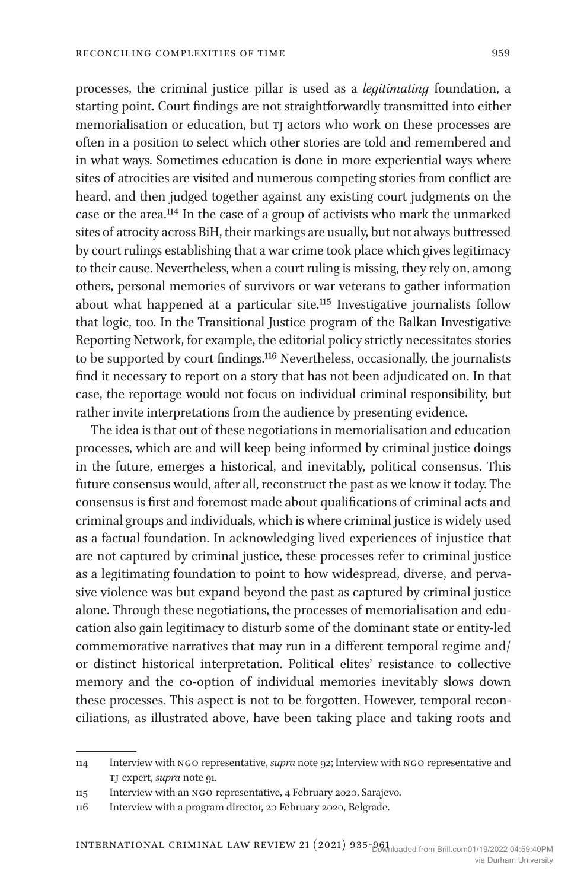processes, the criminal justice pillar is used as a *legitimating* foundation, a starting point. Court findings are not straightforwardly transmitted into either memorialisation or education, but tj actors who work on these processes are often in a position to select which other stories are told and remembered and in what ways. Sometimes education is done in more experiential ways where sites of atrocities are visited and numerous competing stories from conflict are heard, and then judged together against any existing court judgments on the case or the area.114 In the case of a group of activists who mark the unmarked sites of atrocity across BiH, their markings are usually, but not always buttressed by court rulings establishing that a war crime took place which gives legitimacy to their cause. Nevertheless, when a court ruling is missing, they rely on, among others, personal memories of survivors or war veterans to gather information about what happened at a particular site.115 Investigative journalists follow that logic, too. In the Transitional Justice program of the Balkan Investigative Reporting Network, for example, the editorial policy strictly necessitates stories to be supported by court findings.116 Nevertheless, occasionally, the journalists find it necessary to report on a story that has not been adjudicated on. In that case, the reportage would not focus on individual criminal responsibility, but rather invite interpretations from the audience by presenting evidence.

The idea is that out of these negotiations in memorialisation and education processes, which are and will keep being informed by criminal justice doings in the future, emerges a historical, and inevitably, political consensus. This future consensus would, after all, reconstruct the past as we know it today. The consensus is first and foremost made about qualifications of criminal acts and criminal groups and individuals, which is where criminal justice is widely used as a factual foundation. In acknowledging lived experiences of injustice that are not captured by criminal justice, these processes refer to criminal justice as a legitimating foundation to point to how widespread, diverse, and pervasive violence was but expand beyond the past as captured by criminal justice alone. Through these negotiations, the processes of memorialisation and education also gain legitimacy to disturb some of the dominant state or entity-led commemorative narratives that may run in a different temporal regime and/ or distinct historical interpretation. Political elites' resistance to collective memory and the co-option of individual memories inevitably slows down these processes. This aspect is not to be forgotten. However, temporal reconciliations, as illustrated above, have been taking place and taking roots and

<sup>114</sup> Interview with ngo representative, *supra* note 92; Interview with ngo representative and tj expert, *supra* note 91.

<sup>115</sup> Interview with an ngo representative, 4 February 2020, Sarajevo.

<sup>116</sup> Interview with a program director, 20 February 2020, Belgrade.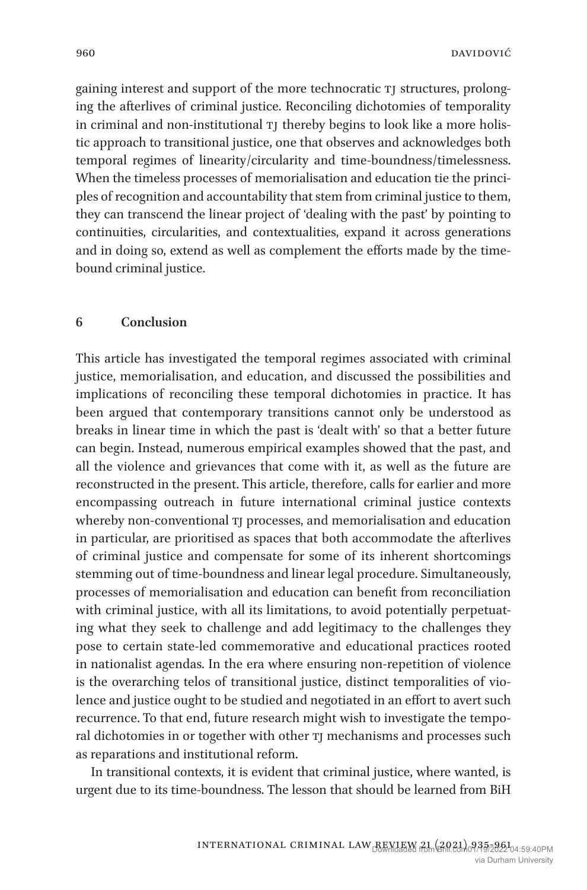gaining interest and support of the more technocratic TJ structures, prolonging the afterlives of criminal justice. Reconciling dichotomies of temporality in criminal and non-institutional  $TJ$  thereby begins to look like a more holistic approach to transitional justice, one that observes and acknowledges both temporal regimes of linearity/circularity and time-boundness/timelessness. When the timeless processes of memorialisation and education tie the principles of recognition and accountability that stem from criminal justice to them, they can transcend the linear project of 'dealing with the past' by pointing to continuities, circularities, and contextualities, expand it across generations and in doing so, extend as well as complement the efforts made by the timebound criminal justice.

#### **6 Conclusion**

This article has investigated the temporal regimes associated with criminal justice, memorialisation, and education, and discussed the possibilities and implications of reconciling these temporal dichotomies in practice. It has been argued that contemporary transitions cannot only be understood as breaks in linear time in which the past is 'dealt with' so that a better future can begin. Instead, numerous empirical examples showed that the past, and all the violence and grievances that come with it, as well as the future are reconstructed in the present. This article, therefore, calls for earlier and more encompassing outreach in future international criminal justice contexts whereby non-conventional TJ processes, and memorialisation and education in particular, are prioritised as spaces that both accommodate the afterlives of criminal justice and compensate for some of its inherent shortcomings stemming out of time-boundness and linear legal procedure. Simultaneously, processes of memorialisation and education can benefit from reconciliation with criminal justice, with all its limitations, to avoid potentially perpetuating what they seek to challenge and add legitimacy to the challenges they pose to certain state-led commemorative and educational practices rooted in nationalist agendas. In the era where ensuring non-repetition of violence is the overarching telos of transitional justice, distinct temporalities of violence and justice ought to be studied and negotiated in an effort to avert such recurrence. To that end, future research might wish to investigate the temporal dichotomies in or together with other  $\eta$  mechanisms and processes such as reparations and institutional reform.

In transitional contexts, it is evident that criminal justice, where wanted, is urgent due to its time-boundness. The lesson that should be learned from BiH